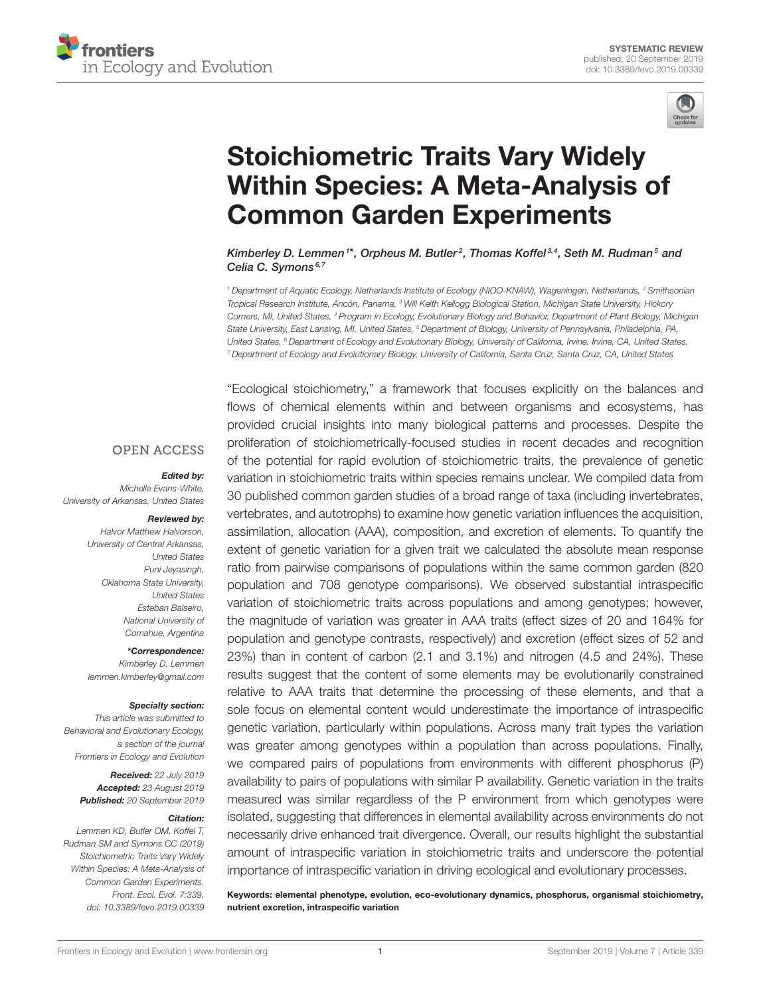



# Stoichiometric Traits Vary Widely [Within Species: A Meta-Analysis of](https://www.frontiersin.org/articles/10.3389/fevo.2019.00339/full) Common Garden Experiments

[Kimberley D. Lemmen](http://loop.frontiersin.org/people/455548/overview)<sup>1\*</sup>, [Orpheus M. Butler](http://loop.frontiersin.org/people/792974/overview)<sup>2</sup>, [Thomas Koffel](http://loop.frontiersin.org/people/792972/overview)<sup>3,4</sup>, [Seth M. Rudman](http://loop.frontiersin.org/people/792977/overview)<sup>5</sup> and [Celia C. Symons](http://loop.frontiersin.org/people/616433/overview)<sup>6,7</sup>

<sup>1</sup> Department of Aquatic Ecology, Netherlands Institute of Ecology (NIOO-KNAW), Wageningen, Netherlands, <sup>2</sup> Smithsonian Tropical Research Institute, Ancón, Panama, <sup>3</sup> Will Keith Kellogg Biological Station, Michigan State University, Hickory Corners, MI, United States, <sup>4</sup> Program in Ecology, Evolutionary Biology and Behavior, Department of Plant Biology, Michigan State University, East Lansing, MI, United States, <sup>5</sup> Department of Biology, University of Pennsylvania, Philadelphia, PA, United States, <sup>6</sup> Department of Ecology and Evolutionary Biology, University of California, Irvine, Irvine, CA, United States, <sup>7</sup> Department of Ecology and Evolutionary Biology, University of California, Santa Cruz, Santa Cruz, CA, United States

#### **OPEN ACCESS**

#### Edited by:

Michelle Evans-White, University of Arkansas, United States

#### Reviewed by:

Halvor Matthew Halvorson, University of Central Arkansas, United States Puni Jeyasingh, Oklahoma State University, United States Esteban Balseiro, National University of Comahue, Argentina

\*Correspondence:

Kimberley D. Lemmen [lemmen.kimberley@gmail.com](mailto:lemmen.kimberley@gmail.com)

#### Specialty section:

This article was submitted to Behavioral and Evolutionary Ecology, a section of the journal Frontiers in Ecology and Evolution

> Received: 22 July 2019 Accepted: 23 August 2019 Published: 20 September 2019

#### Citation:

Lemmen KD, Butler OM, Koffel T, Rudman SM and Symons CC (2019) Stoichiometric Traits Vary Widely Within Species: A Meta-Analysis of Common Garden Experiments. Front. Ecol. Evol. 7:339. doi: [10.3389/fevo.2019.00339](https://doi.org/10.3389/fevo.2019.00339)

"Ecological stoichiometry," a framework that focuses explicitly on the balances and flows of chemical elements within and between organisms and ecosystems, has provided crucial insights into many biological patterns and processes. Despite the proliferation of stoichiometrically-focused studies in recent decades and recognition of the potential for rapid evolution of stoichiometric traits, the prevalence of genetic variation in stoichiometric traits within species remains unclear. We compiled data from 30 published common garden studies of a broad range of taxa (including invertebrates, vertebrates, and autotrophs) to examine how genetic variation influences the acquisition, assimilation, allocation (AAA), composition, and excretion of elements. To quantify the extent of genetic variation for a given trait we calculated the absolute mean response ratio from pairwise comparisons of populations within the same common garden (820 population and 708 genotype comparisons). We observed substantial intraspecific variation of stoichiometric traits across populations and among genotypes; however, the magnitude of variation was greater in AAA traits (effect sizes of 20 and 164% for population and genotype contrasts, respectively) and excretion (effect sizes of 52 and 23%) than in content of carbon (2.1 and 3.1%) and nitrogen (4.5 and 24%). These results suggest that the content of some elements may be evolutionarily constrained relative to AAA traits that determine the processing of these elements, and that a sole focus on elemental content would underestimate the importance of intraspecific genetic variation, particularly within populations. Across many trait types the variation was greater among genotypes within a population than across populations. Finally, we compared pairs of populations from environments with different phosphorus (P) availability to pairs of populations with similar P availability. Genetic variation in the traits measured was similar regardless of the P environment from which genotypes were isolated, suggesting that differences in elemental availability across environments do not necessarily drive enhanced trait divergence. Overall, our results highlight the substantial amount of intraspecific variation in stoichiometric traits and underscore the potential importance of intraspecific variation in driving ecological and evolutionary processes.

Keywords: elemental phenotype, evolution, eco-evolutionary dynamics, phosphorus, organismal stoichiometry, nutrient excretion, intraspecific variation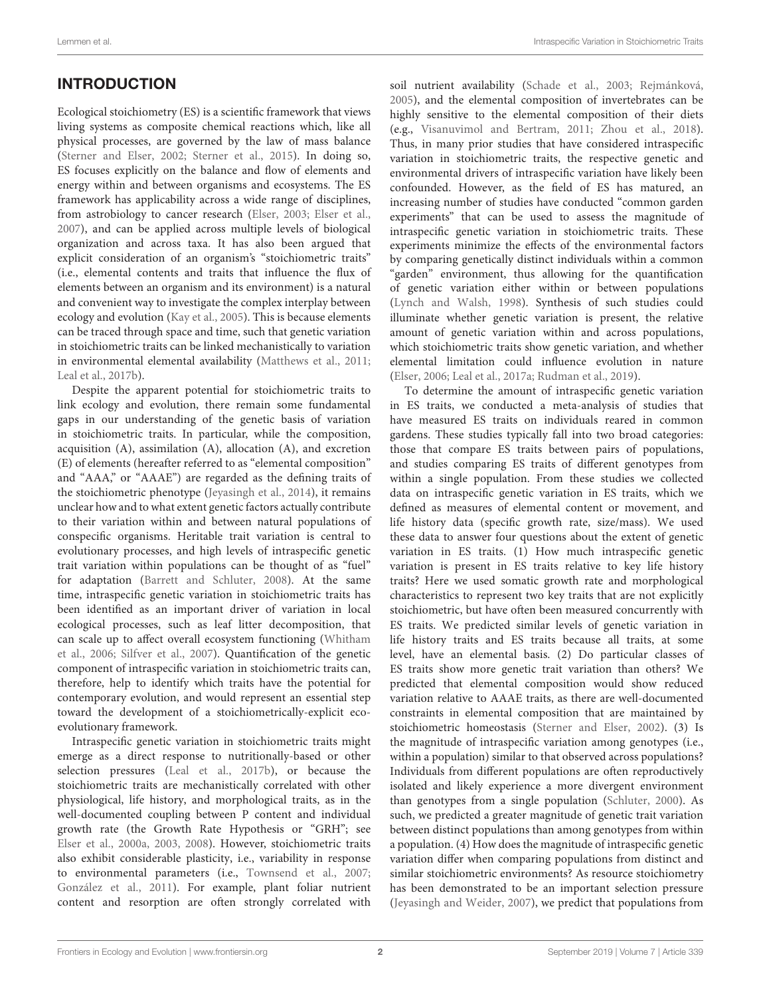# INTRODUCTION

Ecological stoichiometry (ES) is a scientific framework that views living systems as composite chemical reactions which, like all physical processes, are governed by the law of mass balance [\(Sterner and Elser, 2002;](#page-13-0) [Sterner et al., 2015\)](#page-13-1). In doing so, ES focuses explicitly on the balance and flow of elements and energy within and between organisms and ecosystems. The ES framework has applicability across a wide range of disciplines, from astrobiology to cancer research [\(Elser, 2003;](#page-12-0) [Elser et al.,](#page-12-1) [2007\)](#page-12-1), and can be applied across multiple levels of biological organization and across taxa. It has also been argued that explicit consideration of an organism's "stoichiometric traits" (i.e., elemental contents and traits that influence the flux of elements between an organism and its environment) is a natural and convenient way to investigate the complex interplay between ecology and evolution [\(Kay et al., 2005\)](#page-13-2). This is because elements can be traced through space and time, such that genetic variation in stoichiometric traits can be linked mechanistically to variation in environmental elemental availability [\(Matthews et al., 2011;](#page-13-3) [Leal et al., 2017b\)](#page-13-4).

Despite the apparent potential for stoichiometric traits to link ecology and evolution, there remain some fundamental gaps in our understanding of the genetic basis of variation in stoichiometric traits. In particular, while the composition, acquisition (A), assimilation (A), allocation (A), and excretion (E) of elements (hereafter referred to as "elemental composition" and "AAA," or "AAAE") are regarded as the defining traits of the stoichiometric phenotype [\(Jeyasingh et al., 2014\)](#page-12-2), it remains unclear how and to what extent genetic factors actually contribute to their variation within and between natural populations of conspecific organisms. Heritable trait variation is central to evolutionary processes, and high levels of intraspecific genetic trait variation within populations can be thought of as "fuel" for adaptation [\(Barrett and Schluter, 2008\)](#page-11-0). At the same time, intraspecific genetic variation in stoichiometric traits has been identified as an important driver of variation in local ecological processes, such as leaf litter decomposition, that can scale up to affect overall ecosystem functioning (Whitham et al., [2006;](#page-14-0) [Silfver et al., 2007\)](#page-13-5). Quantification of the genetic component of intraspecific variation in stoichiometric traits can, therefore, help to identify which traits have the potential for contemporary evolution, and would represent an essential step toward the development of a stoichiometrically-explicit ecoevolutionary framework.

Intraspecific genetic variation in stoichiometric traits might emerge as a direct response to nutritionally-based or other selection pressures [\(Leal et al., 2017b\)](#page-13-4), or because the stoichiometric traits are mechanistically correlated with other physiological, life history, and morphological traits, as in the well-documented coupling between P content and individual growth rate (the Growth Rate Hypothesis or "GRH"; see [Elser et al., 2000a,](#page-12-3) [2003,](#page-12-4) [2008\)](#page-12-5). However, stoichiometric traits also exhibit considerable plasticity, i.e., variability in response to environmental parameters (i.e., [Townsend et al., 2007;](#page-14-1) [González et al., 2011\)](#page-12-6). For example, plant foliar nutrient content and resorption are often strongly correlated with soil nutrient availability [\(Schade et al., 2003;](#page-13-6) [Rejmánková,](#page-13-7) [2005\)](#page-13-7), and the elemental composition of invertebrates can be highly sensitive to the elemental composition of their diets (e.g., [Visanuvimol and Bertram, 2011;](#page-14-2) [Zhou et al., 2018\)](#page-14-3). Thus, in many prior studies that have considered intraspecific variation in stoichiometric traits, the respective genetic and environmental drivers of intraspecific variation have likely been confounded. However, as the field of ES has matured, an increasing number of studies have conducted "common garden experiments" that can be used to assess the magnitude of intraspecific genetic variation in stoichiometric traits. These experiments minimize the effects of the environmental factors by comparing genetically distinct individuals within a common "garden" environment, thus allowing for the quantification of genetic variation either within or between populations [\(Lynch and Walsh, 1998\)](#page-13-8). Synthesis of such studies could illuminate whether genetic variation is present, the relative amount of genetic variation within and across populations, which stoichiometric traits show genetic variation, and whether elemental limitation could influence evolution in nature [\(Elser, 2006;](#page-12-7) [Leal et al., 2017a;](#page-13-9) [Rudman et al., 2019\)](#page-13-10).

To determine the amount of intraspecific genetic variation in ES traits, we conducted a meta-analysis of studies that have measured ES traits on individuals reared in common gardens. These studies typically fall into two broad categories: those that compare ES traits between pairs of populations, and studies comparing ES traits of different genotypes from within a single population. From these studies we collected data on intraspecific genetic variation in ES traits, which we defined as measures of elemental content or movement, and life history data (specific growth rate, size/mass). We used these data to answer four questions about the extent of genetic variation in ES traits. (1) How much intraspecific genetic variation is present in ES traits relative to key life history traits? Here we used somatic growth rate and morphological characteristics to represent two key traits that are not explicitly stoichiometric, but have often been measured concurrently with ES traits. We predicted similar levels of genetic variation in life history traits and ES traits because all traits, at some level, have an elemental basis. (2) Do particular classes of ES traits show more genetic trait variation than others? We predicted that elemental composition would show reduced variation relative to AAAE traits, as there are well-documented constraints in elemental composition that are maintained by stoichiometric homeostasis [\(Sterner and Elser, 2002\)](#page-13-0). (3) Is the magnitude of intraspecific variation among genotypes (i.e., within a population) similar to that observed across populations? Individuals from different populations are often reproductively isolated and likely experience a more divergent environment than genotypes from a single population [\(Schluter, 2000\)](#page-13-11). As such, we predicted a greater magnitude of genetic trait variation between distinct populations than among genotypes from within a population. (4) How does the magnitude of intraspecific genetic variation differ when comparing populations from distinct and similar stoichiometric environments? As resource stoichiometry has been demonstrated to be an important selection pressure [\(Jeyasingh and Weider, 2007\)](#page-12-8), we predict that populations from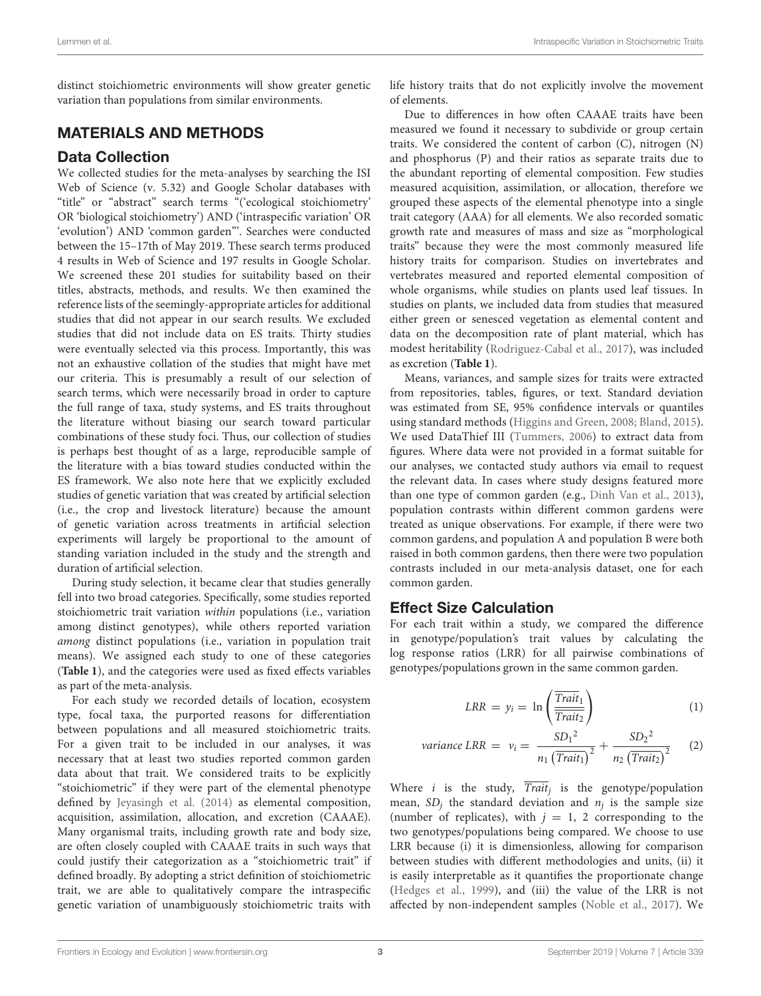distinct stoichiometric environments will show greater genetic variation than populations from similar environments.

### MATERIALS AND METHODS

#### Data Collection

We collected studies for the meta-analyses by searching the ISI Web of Science (v. 5.32) and Google Scholar databases with "title" or "abstract" search terms "('ecological stoichiometry' OR 'biological stoichiometry') AND ('intraspecific variation' OR 'evolution') AND 'common garden"'. Searches were conducted between the 15–17th of May 2019. These search terms produced 4 results in Web of Science and 197 results in Google Scholar. We screened these 201 studies for suitability based on their titles, abstracts, methods, and results. We then examined the reference lists of the seemingly-appropriate articles for additional studies that did not appear in our search results. We excluded studies that did not include data on ES traits. Thirty studies were eventually selected via this process. Importantly, this was not an exhaustive collation of the studies that might have met our criteria. This is presumably a result of our selection of search terms, which were necessarily broad in order to capture the full range of taxa, study systems, and ES traits throughout the literature without biasing our search toward particular combinations of these study foci. Thus, our collection of studies is perhaps best thought of as a large, reproducible sample of the literature with a bias toward studies conducted within the ES framework. We also note here that we explicitly excluded studies of genetic variation that was created by artificial selection (i.e., the crop and livestock literature) because the amount of genetic variation across treatments in artificial selection experiments will largely be proportional to the amount of standing variation included in the study and the strength and duration of artificial selection.

During study selection, it became clear that studies generally fell into two broad categories. Specifically, some studies reported stoichiometric trait variation within populations (i.e., variation among distinct genotypes), while others reported variation among distinct populations (i.e., variation in population trait means). We assigned each study to one of these categories (**[Table 1](#page-3-0)**), and the categories were used as fixed effects variables as part of the meta-analysis.

For each study we recorded details of location, ecosystem type, focal taxa, the purported reasons for differentiation between populations and all measured stoichiometric traits. For a given trait to be included in our analyses, it was necessary that at least two studies reported common garden data about that trait. We considered traits to be explicitly "stoichiometric" if they were part of the elemental phenotype defined by [Jeyasingh et al. \(2014\)](#page-12-2) as elemental composition, acquisition, assimilation, allocation, and excretion (CAAAE). Many organismal traits, including growth rate and body size, are often closely coupled with CAAAE traits in such ways that could justify their categorization as a "stoichiometric trait" if defined broadly. By adopting a strict definition of stoichiometric trait, we are able to qualitatively compare the intraspecific genetic variation of unambiguously stoichiometric traits with life history traits that do not explicitly involve the movement of elements.

Due to differences in how often CAAAE traits have been measured we found it necessary to subdivide or group certain traits. We considered the content of carbon (C), nitrogen (N) and phosphorus (P) and their ratios as separate traits due to the abundant reporting of elemental composition. Few studies measured acquisition, assimilation, or allocation, therefore we grouped these aspects of the elemental phenotype into a single trait category (AAA) for all elements. We also recorded somatic growth rate and measures of mass and size as "morphological traits" because they were the most commonly measured life history traits for comparison. Studies on invertebrates and vertebrates measured and reported elemental composition of whole organisms, while studies on plants used leaf tissues. In studies on plants, we included data from studies that measured either green or senesced vegetation as elemental content and data on the decomposition rate of plant material, which has modest heritability [\(Rodriguez-Cabal et al., 2017\)](#page-13-12), was included as excretion (**[Table 1](#page-3-0)**).

Means, variances, and sample sizes for traits were extracted from repositories, tables, figures, or text. Standard deviation was estimated from SE, 95% confidence intervals or quantiles using standard methods [\(Higgins and Green, 2008;](#page-12-9) [Bland, 2015\)](#page-11-1). We used DataThief III [\(Tummers, 2006\)](#page-14-4) to extract data from figures. Where data were not provided in a format suitable for our analyses, we contacted study authors via email to request the relevant data. In cases where study designs featured more than one type of common garden (e.g., [Dinh Van et al., 2013\)](#page-12-10), population contrasts within different common gardens were treated as unique observations. For example, if there were two common gardens, and population A and population B were both raised in both common gardens, then there were two population contrasts included in our meta-analysis dataset, one for each common garden.

### Effect Size Calculation

For each trait within a study, we compared the difference in genotype/population's trait values by calculating the log response ratios (LRR) for all pairwise combinations of genotypes/populations grown in the same common garden.

$$
LRR = y_i = \ln\left(\frac{\overline{Train}_1}{\overline{Train}_2}\right) \tag{1}
$$

variance LRR = 
$$
v_i = \frac{SD_1^2}{n_1 (\text{Train}_1)^2} + \frac{SD_2^2}{n_2 (\text{Train}_2)^2}
$$
 (2)

Where  $i$  is the study, Trait<sub>j</sub> is the genotype/population mean,  $SD_j$  the standard deviation and  $n_j$  is the sample size (number of replicates), with  $j = 1, 2$  corresponding to the two genotypes/populations being compared. We choose to use LRR because (i) it is dimensionless, allowing for comparison between studies with different methodologies and units, (ii) it is easily interpretable as it quantifies the proportionate change [\(Hedges et al., 1999\)](#page-12-11), and (iii) the value of the LRR is not affected by non-independent samples [\(Noble et al., 2017\)](#page-13-13). We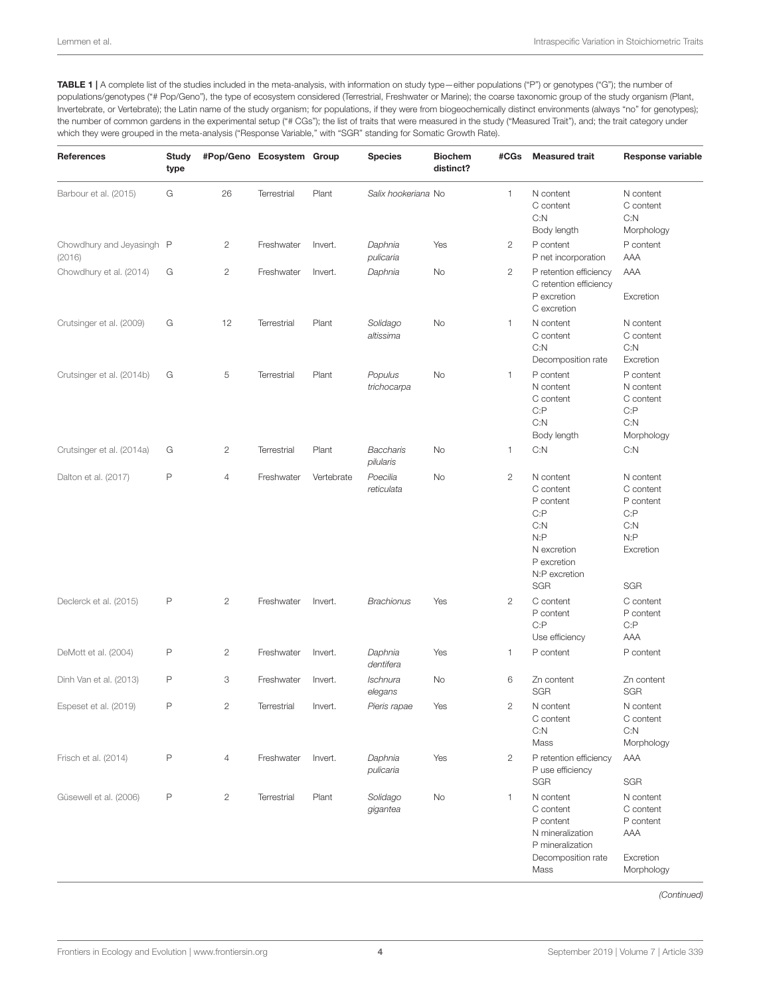<span id="page-3-0"></span>TABLE 1 | A complete list of the studies included in the meta-analysis, with information on study type-either populations ("P") or genotypes ("G"); the number of populations/genotypes ("# Pop/Geno"), the type of ecosystem considered (Terrestrial, Freshwater or Marine); the coarse taxonomic group of the study organism (Plant, Invertebrate, or Vertebrate); the Latin name of the study organism; for populations, if they were from biogeochemically distinct environments (always "no" for genotypes); the number of common gardens in the experimental setup ("# CGs"); the list of traits that were measured in the study ("Measured Trait"), and; the trait category under which they were grouped in the meta-analysis ("Response Variable," with "SGR" standing for Somatic Growth Rate).

| <b>References</b>                   | <b>Study</b><br>type |              | #Pop/Geno Ecosystem Group |            | <b>Species</b>                | <b>Biochem</b><br>distinct? | #CGs           | <b>Measured trait</b>                                                                                                    | <b>Response variable</b>                                                               |
|-------------------------------------|----------------------|--------------|---------------------------|------------|-------------------------------|-----------------------------|----------------|--------------------------------------------------------------------------------------------------------------------------|----------------------------------------------------------------------------------------|
| Barbour et al. (2015)               | G                    | 26           | Terrestrial               | Plant      | Salix hookeriana No           |                             | 1              | N content<br>C content<br>C: N<br>Body length                                                                            | N content<br>C content<br>C: N<br>Morphology                                           |
| Chowdhury and Jeyasingh P<br>(2016) |                      | $\mathbf{2}$ | Freshwater                | Invert.    | Daphnia<br>pulicaria          | Yes                         | $\mathbf{2}$   | P content<br>P net incorporation                                                                                         | P content<br>AAA                                                                       |
| Chowdhury et al. (2014)             | G                    | $\mathbf{2}$ | Freshwater                | Invert.    | Daphnia                       | No                          | 2              | P retention efficiency<br>C retention efficiency<br>P excretion<br>C excretion                                           | AAA<br>Excretion                                                                       |
| Crutsinger et al. (2009)            | G                    | 12           | Terrestrial               | Plant      | Solidago<br>altissima         | No                          | 1              | N content<br>C content<br>C: N<br>Decomposition rate                                                                     | N content<br>C content<br>C: N<br>Excretion                                            |
| Crutsinger et al. (2014b)           | G                    | 5            | Terrestrial               | Plant      | Populus<br>trichocarpa        | No                          | 1              | P content<br>N content<br>C content<br>C: P<br>C: N<br>Body length                                                       | P content<br>N content<br>C content<br>C: P<br>C: N<br>Morphology                      |
| Crutsinger et al. (2014a)           | G                    | $\mathbf{2}$ | Terrestrial               | Plant      | <b>Baccharis</b><br>pilularis | No                          | 1              | C: N                                                                                                                     | C: N                                                                                   |
| Dalton et al. (2017)                | $\mathsf{P}$         | 4            | Freshwater                | Vertebrate | Poecilia<br>reticulata        | No                          | 2              | N content<br>C content<br>P content<br>C: P<br>C: N<br>N: P<br>N excretion<br>P excretion<br>N:P excretion<br><b>SGR</b> | N content<br>C content<br>P content<br>C: P<br>C: N<br>N: P<br>Excretion<br><b>SGR</b> |
| Declerck et al. (2015)              | $\mathsf{P}$         | $\mathbf{2}$ | Freshwater                | Invert.    | <b>Brachionus</b>             | Yes                         | $\overline{c}$ | C content<br>P content<br>C: P<br>Use efficiency                                                                         | C content<br>P content<br>C: P<br>AAA                                                  |
| DeMott et al. (2004)                | $\mathsf{P}$         | $\mathbf{2}$ | Freshwater                | Invert.    | Daphnia<br>dentifera          | Yes                         | 1              | P content                                                                                                                | P content                                                                              |
| Dinh Van et al. (2013)              | P                    | 3            | Freshwater                | Invert.    | Ischnura<br>elegans           | No                          | 6              | Zn content<br><b>SGR</b>                                                                                                 | Zn content<br><b>SGR</b>                                                               |
| Espeset et al. (2019)               | $\mathsf{P}$         | $\mathbf{2}$ | Terrestrial               | Invert.    | Pieris rapae                  | Yes                         | 2              | N content<br>C content<br>C: N<br>Mass                                                                                   | N content<br>C content<br>C: N<br>Morphology                                           |
| Frisch et al. (2014)                | $\mathsf{P}$         | 4            | Freshwater                | Invert.    | Daphnia<br>pulicaria          | Yes                         | $\overline{c}$ | P retention efficiency<br>P use efficiency<br><b>SGR</b>                                                                 | AAA<br>SGR                                                                             |
| Güsewell et al. (2006)              | $\mathsf{P}$         | $\mathbf{2}$ | Terrestrial               | Plant      | Solidago<br>gigantea          | No                          | 1              | N content<br>C content<br>P content<br>N mineralization<br>P mineralization<br>Decomposition rate<br>Mass                | N content<br>C content<br>P content<br>AAA<br>Excretion<br>Morphology                  |

(Continued)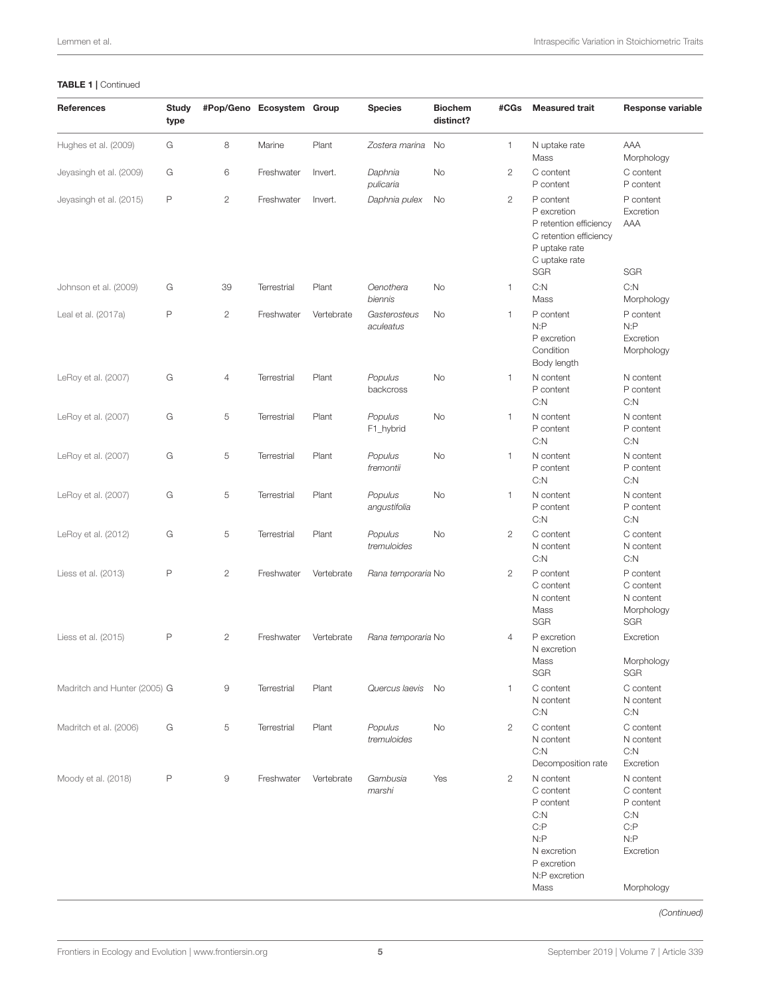#### TABLE 1 | Continued

| References                   | Study<br>type |                       | #Pop/Geno Ecosystem Group |            | <b>Species</b>            | <b>Biochem</b><br>distinct? | #CGs           | <b>Measured trait</b>                                                                                                        | Response variable                                                                      |
|------------------------------|---------------|-----------------------|---------------------------|------------|---------------------------|-----------------------------|----------------|------------------------------------------------------------------------------------------------------------------------------|----------------------------------------------------------------------------------------|
| Hughes et al. (2009)         | G             | 8                     | Marine                    | Plant      | Zostera marina            | No                          | 1              | N uptake rate<br>Mass                                                                                                        | AAA<br>Morphology                                                                      |
| Jeyasingh et al. (2009)      | G             | 6                     | Freshwater                | Invert.    | Daphnia<br>pulicaria      | No                          | $\mathbf{2}$   | C content<br>P content                                                                                                       | C content<br>P content                                                                 |
| Jeyasingh et al. (2015)      | P             | $\mathbf{2}$          | Freshwater                | Invert.    | Daphnia pulex             | No                          | $\mathbf{2}$   | P content<br>P excretion<br>P retention efficiency<br>C retention efficiency<br>P uptake rate<br>C uptake rate<br><b>SGR</b> | P content<br>Excretion<br>AAA<br><b>SGR</b>                                            |
| Johnson et al. (2009)        | G             | 39                    | Terrestrial               | Plant      | Oenothera<br>biennis      | No                          | 1              | C: N<br>Mass                                                                                                                 | C: N<br>Morphology                                                                     |
| Leal et al. (2017a)          | $\mathsf{P}$  | $\mathbf{2}$          | Freshwater                | Vertebrate | Gasterosteus<br>aculeatus | No                          | $\mathbf{1}$   | P content<br>N: P<br>P excretion<br>Condition<br>Body length                                                                 | P content<br>N: P<br>Excretion<br>Morphology                                           |
| LeRoy et al. (2007)          | G             | $\overline{4}$        | Terrestrial               | Plant      | Populus<br>backcross      | No                          | $\mathbf{1}$   | N content<br>P content<br>C: N                                                                                               | N content<br>P content<br>C: N                                                         |
| LeRoy et al. (2007)          | G             | 5                     | <b>Terrestrial</b>        | Plant      | Populus<br>F1_hybrid      | No                          | 1              | N content<br>P content<br>C: N                                                                                               | N content<br>P content<br>C: N                                                         |
| LeRoy et al. (2007)          | G             | 5                     | <b>Terrestrial</b>        | Plant      | Populus<br>fremontii      | No                          | 1              | N content<br>P content<br>C: N                                                                                               | N content<br>P content<br>C: N                                                         |
| LeRoy et al. (2007)          | G             | 5                     | Terrestrial               | Plant      | Populus<br>angustifolia   | No                          | 1.             | N content<br>P content<br>C: N                                                                                               | N content<br>P content<br>C: N                                                         |
| LeRoy et al. (2012)          | G             | 5                     | Terrestrial               | Plant      | Populus<br>tremuloides    | No                          | $\mathbf{2}$   | C content<br>N content<br>C: N                                                                                               | C content<br>N content<br>C: N                                                         |
| Liess et al. (2013)          | $\mathsf{P}$  | $\mathbf{2}$          | Freshwater                | Vertebrate | Rana temporaria No        |                             | $\mathbf{2}$   | P content<br>C content<br>N content<br>Mass<br><b>SGR</b>                                                                    | P content<br>C content<br>N content<br>Morphology<br><b>SGR</b>                        |
| Liess et al. (2015)          | $\mathsf{P}$  | $\mathbf{2}^{\prime}$ | Freshwater                | Vertebrate | Rana temporaria No        |                             | $\overline{4}$ | P excretion<br>N excretion<br>Mass<br>SGR                                                                                    | Excretion<br>Morphology<br>SGR                                                         |
| Madritch and Hunter (2005) G |               | 9                     | Terrestrial               | Plant      | Quercus laevis            | No                          | 1              | C content<br>N content<br>C: N                                                                                               | C content<br>N content<br>C: N                                                         |
| Madritch et al. (2006)       | G             | 5                     | Terrestrial               | Plant      | Populus<br>tremuloides    | No                          | $\mathbf{2}$   | C content<br>N content<br>C: N<br>Decomposition rate                                                                         | C content<br>N content<br>C: N<br>Excretion                                            |
| Moody et al. (2018)          | P             | 9                     | Freshwater                | Vertebrate | Gambusia<br>marshi        | Yes                         | $\mathbf{2}$   | N content<br>C content<br>P content<br>C: N<br>C:P<br>N: P<br>N excretion<br>P excretion<br>N:P excretion<br>Mass            | N content<br>C content<br>P content<br>C: N<br>C: P<br>N: P<br>Excretion<br>Morphology |

(Continued)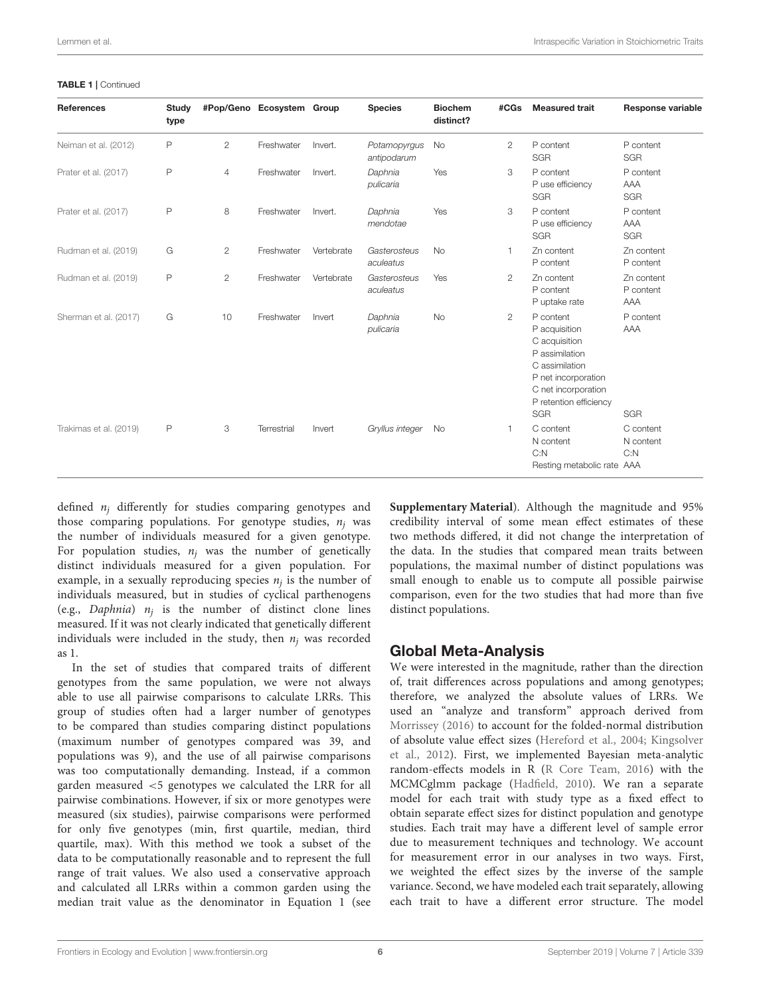| <b>References</b>      | Study<br>type |                | #Pop/Geno Ecosystem Group |            | <b>Species</b>              | <b>Biochem</b><br>distinct? | #CGs           | <b>Measured trait</b>                                                                                                                                          | Response variable              |
|------------------------|---------------|----------------|---------------------------|------------|-----------------------------|-----------------------------|----------------|----------------------------------------------------------------------------------------------------------------------------------------------------------------|--------------------------------|
| Neiman et al. (2012)   | P             | $\overline{2}$ | Freshwater                | Invert.    | Potamopyrgus<br>antipodarum | <b>No</b>                   | 2              | P content<br><b>SGR</b>                                                                                                                                        | P content<br><b>SGR</b>        |
| Prater et al. (2017)   | P             | 4              | Freshwater                | Invert.    | Daphnia<br>pulicaria        | Yes                         | 3              | P content<br>P use efficiency<br><b>SGR</b>                                                                                                                    | P content<br>AAA<br><b>SGR</b> |
| Prater et al. (2017)   | P             | 8              | Freshwater                | Invert.    | Daphnia<br>mendotae         | Yes                         | 3              | P content<br>P use efficiency<br><b>SGR</b>                                                                                                                    | P content<br>AAA<br><b>SGR</b> |
| Rudman et al. (2019)   | G             | $\overline{2}$ | Freshwater                | Vertebrate | Gasterosteus<br>aculeatus   | <b>No</b>                   | 1              | Zn content<br>P content                                                                                                                                        | Zn content<br>P content        |
| Rudman et al. (2019)   | P             | $\overline{2}$ | Freshwater                | Vertebrate | Gasterosteus<br>aculeatus   | Yes                         | $\overline{2}$ | Zn content<br>P content<br>P uptake rate                                                                                                                       | Zn content<br>P content<br>AAA |
| Sherman et al. (2017)  | G             | 10             | Freshwater                | Invert     | Daphnia<br>pulicaria        | <b>No</b>                   | $\mathbf{2}$   | P content<br>P acquisition<br>C acquisition<br>P assimilation<br>C assimilation<br>P net incorporation<br>C net incorporation<br>P retention efficiency<br>SGR | P content<br>AAA<br><b>SGR</b> |
| Trakimas et al. (2019) | P             | 3              | Terrestrial               | Invert     | Gryllus integer             | No                          | 1              | C content<br>N content<br>C: N<br>Resting metabolic rate AAA                                                                                                   | C content<br>N content<br>C: N |

#### TABLE 1 | Continued

defined  $n_i$  differently for studies comparing genotypes and those comparing populations. For genotype studies,  $n_i$  was the number of individuals measured for a given genotype. For population studies,  $n_i$  was the number of genetically distinct individuals measured for a given population. For example, in a sexually reproducing species  $n_j$  is the number of individuals measured, but in studies of cyclical parthenogens (e.g., *Daphnia*)  $n_j$  is the number of distinct clone lines measured. If it was not clearly indicated that genetically different individuals were included in the study, then  $n_i$  was recorded as 1.

In the set of studies that compared traits of different genotypes from the same population, we were not always able to use all pairwise comparisons to calculate LRRs. This group of studies often had a larger number of genotypes to be compared than studies comparing distinct populations (maximum number of genotypes compared was 39, and populations was 9), and the use of all pairwise comparisons was too computationally demanding. Instead, if a common garden measured <5 genotypes we calculated the LRR for all pairwise combinations. However, if six or more genotypes were measured (six studies), pairwise comparisons were performed for only five genotypes (min, first quartile, median, third quartile, max). With this method we took a subset of the data to be computationally reasonable and to represent the full range of trait values. We also used a conservative approach and calculated all LRRs within a common garden using the median trait value as the denominator in Equation 1 (see **[Supplementary Material](#page-11-3)**). Although the magnitude and 95% credibility interval of some mean effect estimates of these two methods differed, it did not change the interpretation of the data. In the studies that compared mean traits between populations, the maximal number of distinct populations was small enough to enable us to compute all possible pairwise comparison, even for the two studies that had more than five distinct populations.

### Global Meta-Analysis

We were interested in the magnitude, rather than the direction of, trait differences across populations and among genotypes; therefore, we analyzed the absolute values of LRRs. We used an "analyze and transform" approach derived from [Morrissey \(2016\)](#page-13-24) to account for the folded-normal distribution of absolute value effect sizes [\(Hereford et al., 2004;](#page-12-27) Kingsolver et al., [2012\)](#page-13-25). First, we implemented Bayesian meta-analytic random-effects models in R [\(R Core Team, 2016\)](#page-13-26) with the MCMCglmm package [\(Hadfield, 2010\)](#page-12-28). We ran a separate model for each trait with study type as a fixed effect to obtain separate effect sizes for distinct population and genotype studies. Each trait may have a different level of sample error due to measurement techniques and technology. We account for measurement error in our analyses in two ways. First, we weighted the effect sizes by the inverse of the sample variance. Second, we have modeled each trait separately, allowing each trait to have a different error structure. The model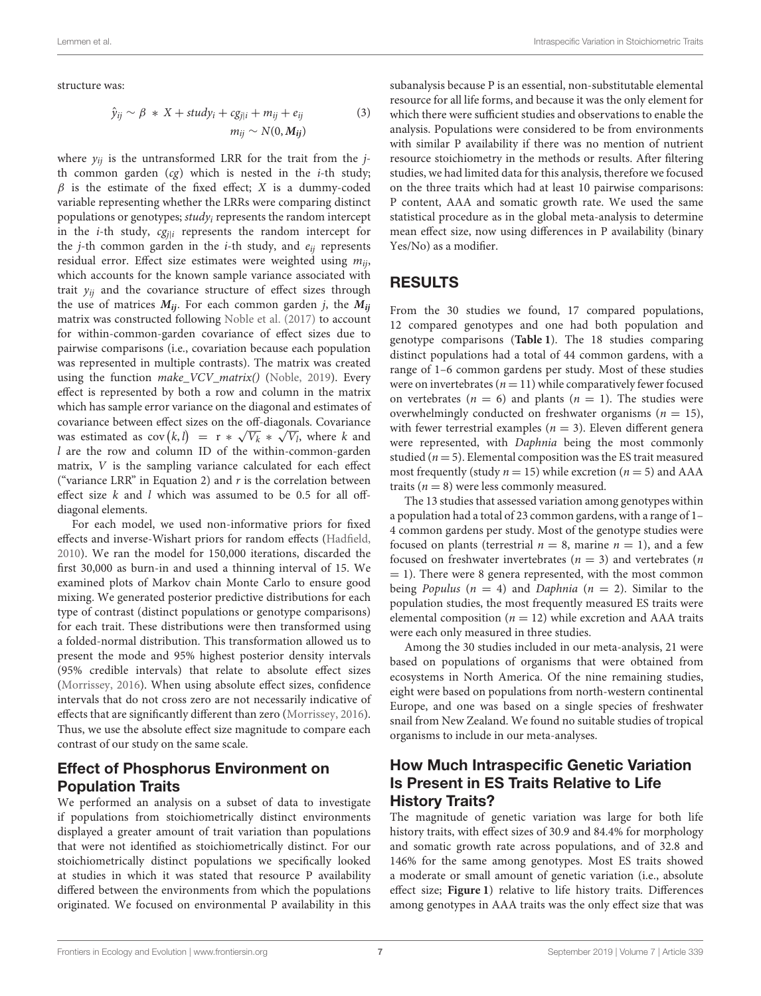structure was:

$$
\hat{y}_{ij} \sim \beta * X + study_i + cg_{j|i} + m_{ij} + e_{ij}
$$
\n
$$
m_{ij} \sim N(0, M_{ij})
$$
\n(3)

where  $y_{ii}$  is the untransformed LRR for the trait from the jth common garden  $(cg)$  which is nested in the *i*-th study;  $\beta$  is the estimate of the fixed effect; X is a dummy-coded variable representing whether the LRRs were comparing distinct populations or genotypes;  $study_i$  represents the random intercept in the *i*-th study,  $cg_{i|i}$  represents the random intercept for the *j*-th common garden in the *i*-th study, and  $e_{ij}$  represents residual error. Effect size estimates were weighted using  $m_{ii}$ , which accounts for the known sample variance associated with trait  $y_{ij}$  and the covariance structure of effect sizes through the use of matrices  $M_{ij}$ . For each common garden j, the  $M_{ij}$ matrix was constructed following [Noble et al. \(2017\)](#page-13-13) to account for within-common-garden covariance of effect sizes due to pairwise comparisons (i.e., covariation because each population was represented in multiple contrasts). The matrix was created using the function make\_VCV\_matrix() [\(Noble, 2019\)](#page-13-27). Every effect is represented by both a row and column in the matrix which has sample error variance on the diagonal and estimates of covariance between effect sizes on the off-diagonals. Covariance was estimated as  $cov(k, l) = r * \sqrt{V_k} * \sqrt{V_l}$ , where k and l are the row and column ID of the within-common-garden matrix, V is the sampling variance calculated for each effect ("variance LRR" in Equation 2) and  $r$  is the correlation between effect size  $k$  and  $l$  which was assumed to be 0.5 for all offdiagonal elements.

For each model, we used non-informative priors for fixed effects and inverse-Wishart priors for random effects [\(Hadfield,](#page-12-28) [2010\)](#page-12-28). We ran the model for 150,000 iterations, discarded the first 30,000 as burn-in and used a thinning interval of 15. We examined plots of Markov chain Monte Carlo to ensure good mixing. We generated posterior predictive distributions for each type of contrast (distinct populations or genotype comparisons) for each trait. These distributions were then transformed using a folded-normal distribution. This transformation allowed us to present the mode and 95% highest posterior density intervals (95% credible intervals) that relate to absolute effect sizes [\(Morrissey, 2016\)](#page-13-24). When using absolute effect sizes, confidence intervals that do not cross zero are not necessarily indicative of effects that are significantly different than zero [\(Morrissey, 2016\)](#page-13-24). Thus, we use the absolute effect size magnitude to compare each contrast of our study on the same scale.

### Effect of Phosphorus Environment on Population Traits

We performed an analysis on a subset of data to investigate if populations from stoichiometrically distinct environments displayed a greater amount of trait variation than populations that were not identified as stoichiometrically distinct. For our stoichiometrically distinct populations we specifically looked at studies in which it was stated that resource P availability differed between the environments from which the populations originated. We focused on environmental P availability in this subanalysis because P is an essential, non-substitutable elemental resource for all life forms, and because it was the only element for which there were sufficient studies and observations to enable the analysis. Populations were considered to be from environments with similar P availability if there was no mention of nutrient resource stoichiometry in the methods or results. After filtering studies, we had limited data for this analysis, therefore we focused on the three traits which had at least 10 pairwise comparisons: P content, AAA and somatic growth rate. We used the same statistical procedure as in the global meta-analysis to determine mean effect size, now using differences in P availability (binary Yes/No) as a modifier.

#### RESULTS

From the 30 studies we found, 17 compared populations, 12 compared genotypes and one had both population and genotype comparisons (**[Table 1](#page-3-0)**). The 18 studies comparing distinct populations had a total of 44 common gardens, with a range of 1–6 common gardens per study. Most of these studies were on invertebrates ( $n = 11$ ) while comparatively fewer focused on vertebrates ( $n = 6$ ) and plants ( $n = 1$ ). The studies were overwhelmingly conducted on freshwater organisms ( $n = 15$ ), with fewer terrestrial examples ( $n = 3$ ). Eleven different genera were represented, with Daphnia being the most commonly studied ( $n = 5$ ). Elemental composition was the ES trait measured most frequently (study  $n = 15$ ) while excretion ( $n = 5$ ) and AAA traits ( $n = 8$ ) were less commonly measured.

The 13 studies that assessed variation among genotypes within a population had a total of 23 common gardens, with a range of 1– 4 common gardens per study. Most of the genotype studies were focused on plants (terrestrial  $n = 8$ , marine  $n = 1$ ), and a few focused on freshwater invertebrates ( $n = 3$ ) and vertebrates ( $n$  $= 1$ ). There were 8 genera represented, with the most common being Populus ( $n = 4$ ) and Daphnia ( $n = 2$ ). Similar to the population studies, the most frequently measured ES traits were elemental composition ( $n = 12$ ) while excretion and AAA traits were each only measured in three studies.

Among the 30 studies included in our meta-analysis, 21 were based on populations of organisms that were obtained from ecosystems in North America. Of the nine remaining studies, eight were based on populations from north-western continental Europe, and one was based on a single species of freshwater snail from New Zealand. We found no suitable studies of tropical organisms to include in our meta-analyses.

### How Much Intraspecific Genetic Variation Is Present in ES Traits Relative to Life History Traits?

The magnitude of genetic variation was large for both life history traits, with effect sizes of 30.9 and 84.4% for morphology and somatic growth rate across populations, and of 32.8 and 146% for the same among genotypes. Most ES traits showed a moderate or small amount of genetic variation (i.e., absolute effect size; **[Figure 1](#page-7-0)**) relative to life history traits. Differences among genotypes in AAA traits was the only effect size that was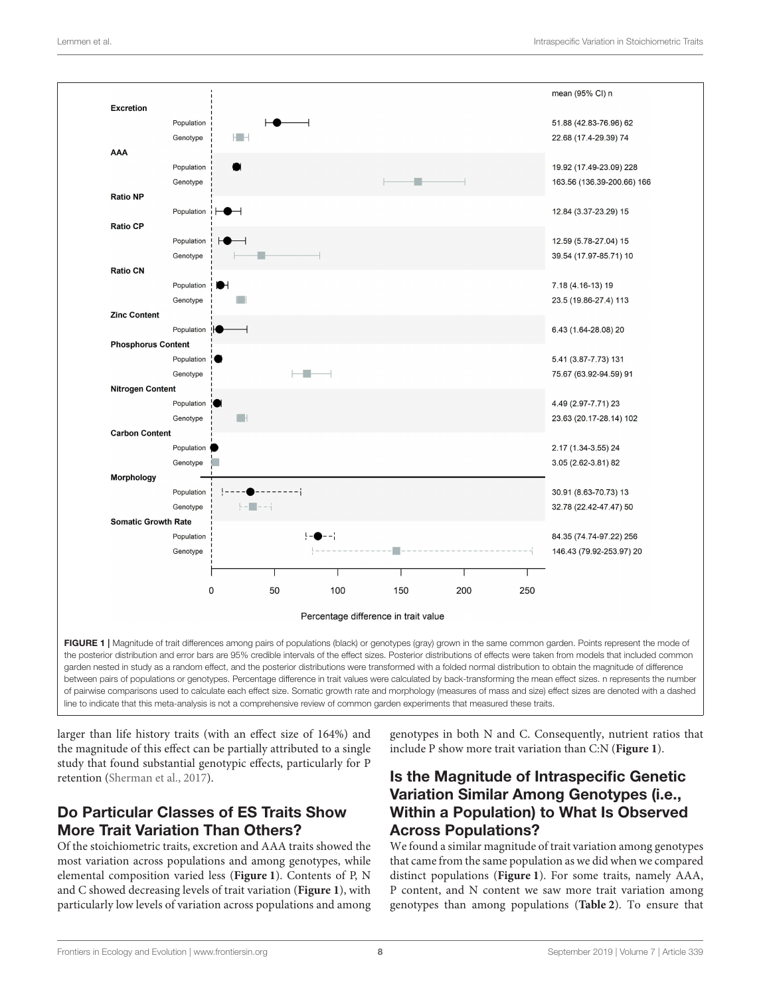

<span id="page-7-0"></span>larger than life history traits (with an effect size of 164%) and the magnitude of this effect can be partially attributed to a single study that found substantial genotypic effects, particularly for P retention [\(Sherman et al., 2017\)](#page-13-23).

# Do Particular Classes of ES Traits Show More Trait Variation Than Others?

Of the stoichiometric traits, excretion and AAA traits showed the most variation across populations and among genotypes, while elemental composition varied less (**[Figure 1](#page-7-0)**). Contents of P, N and C showed decreasing levels of trait variation (**[Figure 1](#page-7-0)**), with particularly low levels of variation across populations and among genotypes in both N and C. Consequently, nutrient ratios that include P show more trait variation than C:N (**[Figure 1](#page-7-0)**).

## Is the Magnitude of Intraspecific Genetic Variation Similar Among Genotypes (i.e., Within a Population) to What Is Observed Across Populations?

We found a similar magnitude of trait variation among genotypes that came from the same population as we did when we compared distinct populations (**[Figure 1](#page-7-0)**). For some traits, namely AAA, P content, and N content we saw more trait variation among genotypes than among populations (**[Table 2](#page-8-0)**). To ensure that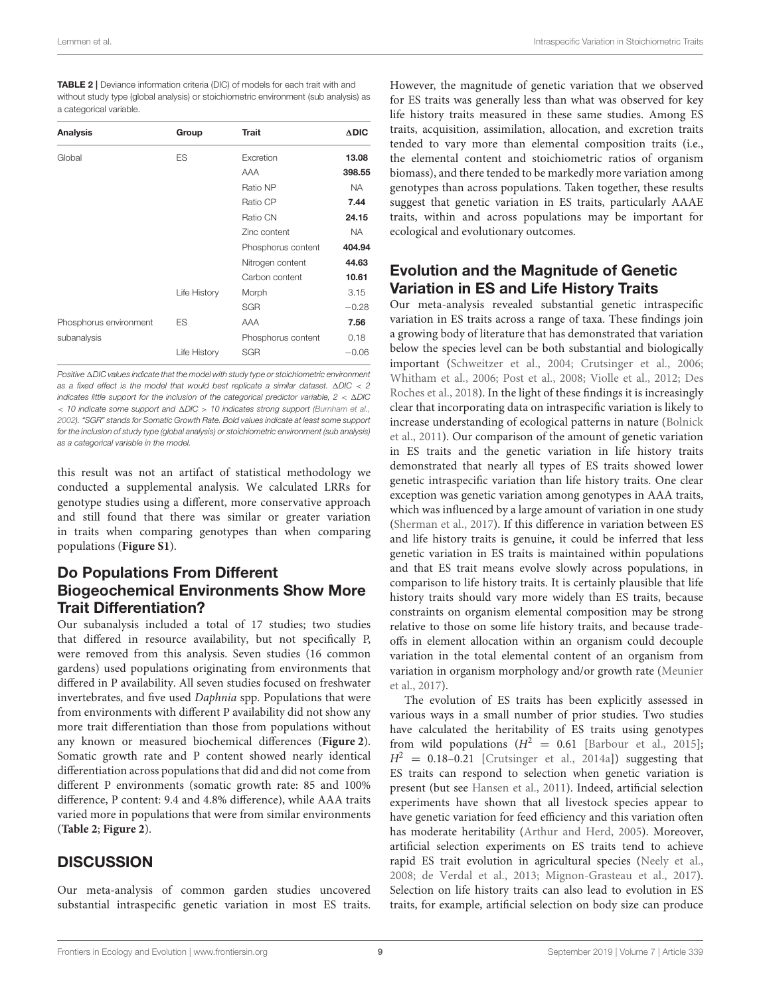<span id="page-8-0"></span>TABLE 2 | Deviance information criteria (DIC) of models for each trait with and without study type (global analysis) or stoichiometric environment (sub analysis) as a categorical variable.

| <b>Analysis</b>        | Group        | Trait              | $\triangle DIC$ |
|------------------------|--------------|--------------------|-----------------|
| Global                 | ES           | Excretion          | 13.08           |
|                        |              | AAA                | 398.55          |
|                        |              | Ratio NP           | <b>NA</b>       |
|                        |              | Ratio CP           | 7.44            |
|                        |              | Ratio CN           | 24.15           |
|                        |              | Zinc content       | <b>NA</b>       |
|                        |              | Phosphorus content | 404.94          |
|                        |              | Nitrogen content   | 44.63           |
|                        |              | Carbon content     | 10.61           |
|                        | Life History | Morph              | 3.15            |
|                        |              | <b>SGR</b>         | $-0.28$         |
| Phosphorus environment | ES           | AAA                | 7.56            |
| subanalysis            |              | Phosphorus content | 0.18            |
|                        | Life History | <b>SGR</b>         | $-0.06$         |

Positive  $\Delta$ DIC values indicate that the model with study type or stoichiometric environment as a fixed effect is the model that would best replicate a similar dataset.  $\triangle DIC < 2$ indicates little support for the inclusion of the categorical predictor variable,  $2 < \Delta DIC$  $<$  10 indicate some support and  $\Delta DIC > 10$  indicates strong support [\(Burnham et al.,](#page-12-29) [2002\)](#page-12-29). "SGR" stands for Somatic Growth Rate. Bold values indicate at least some support for the inclusion of study type (global analysis) or stoichiometric environment (sub analysis) as a categorical variable in the model.

this result was not an artifact of statistical methodology we conducted a supplemental analysis. We calculated LRRs for genotype studies using a different, more conservative approach and still found that there was similar or greater variation in traits when comparing genotypes than when comparing populations (**[Figure S1](#page-11-3)**).

## Do Populations From Different Biogeochemical Environments Show More Trait Differentiation?

Our subanalysis included a total of 17 studies; two studies that differed in resource availability, but not specifically P, were removed from this analysis. Seven studies (16 common gardens) used populations originating from environments that differed in P availability. All seven studies focused on freshwater invertebrates, and five used Daphnia spp. Populations that were from environments with different P availability did not show any more trait differentiation than those from populations without any known or measured biochemical differences (**[Figure 2](#page-9-0)**). Somatic growth rate and P content showed nearly identical differentiation across populations that did and did not come from different P environments (somatic growth rate: 85 and 100% difference, P content: 9.4 and 4.8% difference), while AAA traits varied more in populations that were from similar environments (**[Table 2](#page-8-0)**; **[Figure 2](#page-9-0)**).

# **DISCUSSION**

Our meta-analysis of common garden studies uncovered substantial intraspecific genetic variation in most ES traits.

However, the magnitude of genetic variation that we observed for ES traits was generally less than what was observed for key life history traits measured in these same studies. Among ES traits, acquisition, assimilation, allocation, and excretion traits tended to vary more than elemental composition traits (i.e., the elemental content and stoichiometric ratios of organism biomass), and there tended to be markedly more variation among genotypes than across populations. Taken together, these results suggest that genetic variation in ES traits, particularly AAAE traits, within and across populations may be important for ecological and evolutionary outcomes.

### Evolution and the Magnitude of Genetic Variation in ES and Life History Traits

Our meta-analysis revealed substantial genetic intraspecific variation in ES traits across a range of taxa. These findings join a growing body of literature that has demonstrated that variation below the species level can be both substantial and biologically important [\(Schweitzer et al., 2004;](#page-13-28) [Crutsinger et al., 2006;](#page-12-30) [Whitham et al., 2006;](#page-14-0) [Post et al., 2008;](#page-13-29) [Violle et al., 2012;](#page-14-6) Des Roches et al., [2018\)](#page-12-31). In the light of these findings it is increasingly clear that incorporating data on intraspecific variation is likely to increase understanding of ecological patterns in nature (Bolnick et al., [2011\)](#page-12-32). Our comparison of the amount of genetic variation in ES traits and the genetic variation in life history traits demonstrated that nearly all types of ES traits showed lower genetic intraspecific variation than life history traits. One clear exception was genetic variation among genotypes in AAA traits, which was influenced by a large amount of variation in one study [\(Sherman et al., 2017\)](#page-13-23). If this difference in variation between ES and life history traits is genuine, it could be inferred that less genetic variation in ES traits is maintained within populations and that ES trait means evolve slowly across populations, in comparison to life history traits. It is certainly plausible that life history traits should vary more widely than ES traits, because constraints on organism elemental composition may be strong relative to those on some life history traits, and because tradeoffs in element allocation within an organism could decouple variation in the total elemental content of an organism from variation in organism morphology and/or growth rate (Meunier et al., [2017\)](#page-13-30).

The evolution of ES traits has been explicitly assessed in various ways in a small number of prior studies. Two studies have calculated the heritability of ES traits using genotypes from wild populations  $(H^2 = 0.61$  [\[Barbour et al., 2015\]](#page-11-2);  $H<sup>2</sup> = 0.18-0.21$  [\[Crutsinger et al., 2014a\]](#page-12-16)) suggesting that ES traits can respond to selection when genetic variation is present (but see [Hansen et al., 2011\)](#page-12-33). Indeed, artificial selection experiments have shown that all livestock species appear to have genetic variation for feed efficiency and this variation often has moderate heritability [\(Arthur and Herd, 2005\)](#page-11-4). Moreover, artificial selection experiments on ES traits tend to achieve rapid ES trait evolution in agricultural species [\(Neely et al.,](#page-13-31) [2008;](#page-13-31) [de Verdal et al., 2013;](#page-12-34) [Mignon-Grasteau et al., 2017\)](#page-13-32). Selection on life history traits can also lead to evolution in ES traits, for example, artificial selection on body size can produce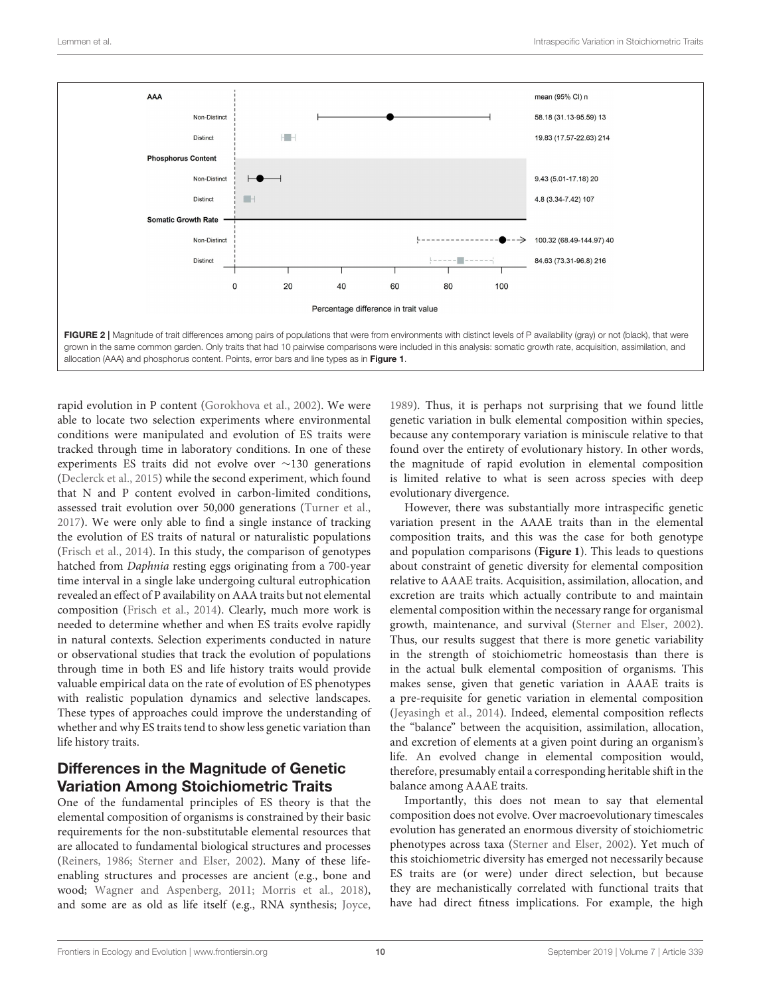

<span id="page-9-0"></span>rapid evolution in P content [\(Gorokhova et al., 2002\)](#page-12-35). We were able to locate two selection experiments where environmental conditions were manipulated and evolution of ES traits were tracked through time in laboratory conditions. In one of these experiments ES traits did not evolve over ∼130 generations [\(Declerck et al., 2015\)](#page-12-18) while the second experiment, which found that N and P content evolved in carbon-limited conditions, assessed trait evolution over 50,000 generations [\(Turner et al.,](#page-14-7) [2017\)](#page-14-7). We were only able to find a single instance of tracking the evolution of ES traits of natural or naturalistic populations [\(Frisch et al., 2014\)](#page-12-21). In this study, the comparison of genotypes hatched from Daphnia resting eggs originating from a 700-year time interval in a single lake undergoing cultural eutrophication revealed an effect of P availability on AAA traits but not elemental composition [\(Frisch et al., 2014\)](#page-12-21). Clearly, much more work is needed to determine whether and when ES traits evolve rapidly in natural contexts. Selection experiments conducted in nature or observational studies that track the evolution of populations through time in both ES and life history traits would provide valuable empirical data on the rate of evolution of ES phenotypes with realistic population dynamics and selective landscapes. These types of approaches could improve the understanding of whether and why ES traits tend to show less genetic variation than life history traits.

# Differences in the Magnitude of Genetic Variation Among Stoichiometric Traits

One of the fundamental principles of ES theory is that the elemental composition of organisms is constrained by their basic requirements for the non-substitutable elemental resources that are allocated to fundamental biological structures and processes [\(Reiners, 1986;](#page-13-33) [Sterner and Elser, 2002\)](#page-13-0). Many of these lifeenabling structures and processes are ancient (e.g., bone and wood; [Wagner and Aspenberg, 2011;](#page-14-8) [Morris et al., 2018\)](#page-13-34), and some are as old as life itself (e.g., RNA synthesis; [Joyce,](#page-13-35) [1989\)](#page-13-35). Thus, it is perhaps not surprising that we found little genetic variation in bulk elemental composition within species, because any contemporary variation is miniscule relative to that found over the entirety of evolutionary history. In other words, the magnitude of rapid evolution in elemental composition is limited relative to what is seen across species with deep evolutionary divergence.

However, there was substantially more intraspecific genetic variation present in the AAAE traits than in the elemental composition traits, and this was the case for both genotype and population comparisons (**[Figure 1](#page-7-0)**). This leads to questions about constraint of genetic diversity for elemental composition relative to AAAE traits. Acquisition, assimilation, allocation, and excretion are traits which actually contribute to and maintain elemental composition within the necessary range for organismal growth, maintenance, and survival [\(Sterner and Elser, 2002\)](#page-13-0). Thus, our results suggest that there is more genetic variability in the strength of stoichiometric homeostasis than there is in the actual bulk elemental composition of organisms. This makes sense, given that genetic variation in AAAE traits is a pre-requisite for genetic variation in elemental composition [\(Jeyasingh et al., 2014\)](#page-12-2). Indeed, elemental composition reflects the "balance" between the acquisition, assimilation, allocation, and excretion of elements at a given point during an organism's life. An evolved change in elemental composition would, therefore, presumably entail a corresponding heritable shift in the balance among AAAE traits.

Importantly, this does not mean to say that elemental composition does not evolve. Over macroevolutionary timescales evolution has generated an enormous diversity of stoichiometric phenotypes across taxa [\(Sterner and Elser, 2002\)](#page-13-0). Yet much of this stoichiometric diversity has emerged not necessarily because ES traits are (or were) under direct selection, but because they are mechanistically correlated with functional traits that have had direct fitness implications. For example, the high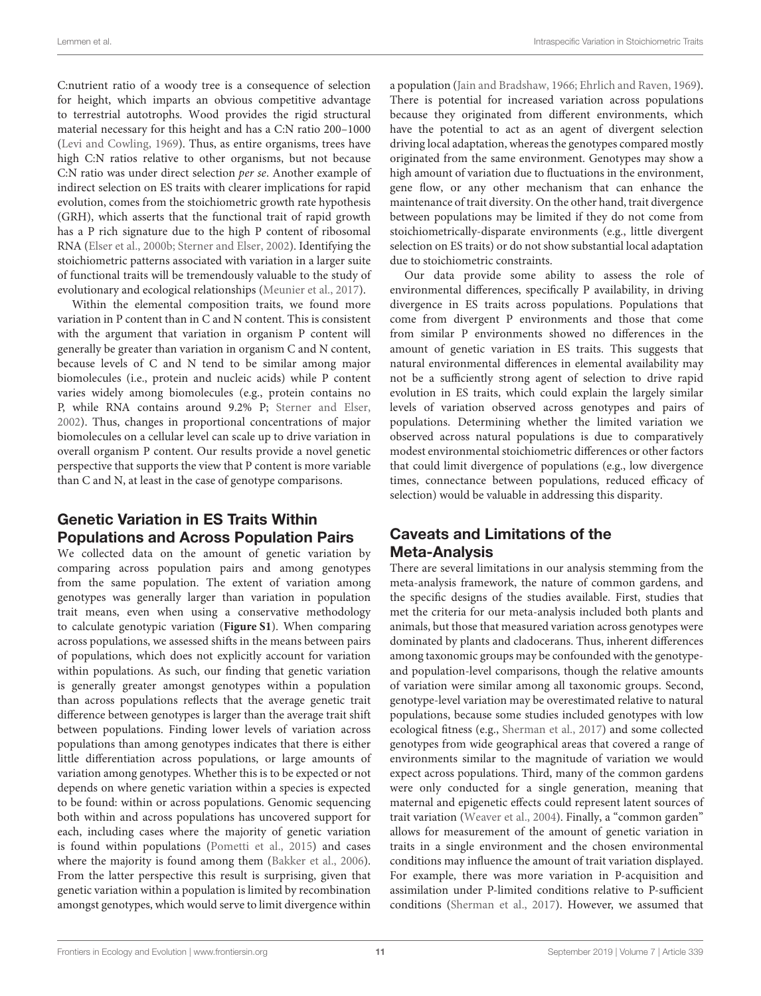C:nutrient ratio of a woody tree is a consequence of selection for height, which imparts an obvious competitive advantage to terrestrial autotrophs. Wood provides the rigid structural material necessary for this height and has a C:N ratio 200–1000 [\(Levi and Cowling, 1969\)](#page-13-36). Thus, as entire organisms, trees have high C:N ratios relative to other organisms, but not because C:N ratio was under direct selection per se. Another example of indirect selection on ES traits with clearer implications for rapid evolution, comes from the stoichiometric growth rate hypothesis (GRH), which asserts that the functional trait of rapid growth has a P rich signature due to the high P content of ribosomal RNA [\(Elser et al., 2000b;](#page-12-36) [Sterner and Elser, 2002\)](#page-13-0). Identifying the stoichiometric patterns associated with variation in a larger suite of functional traits will be tremendously valuable to the study of evolutionary and ecological relationships [\(Meunier et al., 2017\)](#page-13-30).

Within the elemental composition traits, we found more variation in P content than in C and N content. This is consistent with the argument that variation in organism P content will generally be greater than variation in organism C and N content, because levels of C and N tend to be similar among major biomolecules (i.e., protein and nucleic acids) while P content varies widely among biomolecules (e.g., protein contains no P, while RNA contains around 9.2% P; [Sterner and Elser,](#page-13-0) [2002\)](#page-13-0). Thus, changes in proportional concentrations of major biomolecules on a cellular level can scale up to drive variation in overall organism P content. Our results provide a novel genetic perspective that supports the view that P content is more variable than C and N, at least in the case of genotype comparisons.

### Genetic Variation in ES Traits Within Populations and Across Population Pairs

We collected data on the amount of genetic variation by comparing across population pairs and among genotypes from the same population. The extent of variation among genotypes was generally larger than variation in population trait means, even when using a conservative methodology to calculate genotypic variation (**[Figure S1](#page-11-3)**). When comparing across populations, we assessed shifts in the means between pairs of populations, which does not explicitly account for variation within populations. As such, our finding that genetic variation is generally greater amongst genotypes within a population than across populations reflects that the average genetic trait difference between genotypes is larger than the average trait shift between populations. Finding lower levels of variation across populations than among genotypes indicates that there is either little differentiation across populations, or large amounts of variation among genotypes. Whether this is to be expected or not depends on where genetic variation within a species is expected to be found: within or across populations. Genomic sequencing both within and across populations has uncovered support for each, including cases where the majority of genetic variation is found within populations [\(Pometti et al., 2015\)](#page-13-37) and cases where the majority is found among them [\(Bakker et al., 2006\)](#page-11-5). From the latter perspective this result is surprising, given that genetic variation within a population is limited by recombination amongst genotypes, which would serve to limit divergence within a population [\(Jain and Bradshaw, 1966;](#page-12-37) [Ehrlich and Raven, 1969\)](#page-12-38). There is potential for increased variation across populations because they originated from different environments, which have the potential to act as an agent of divergent selection driving local adaptation, whereas the genotypes compared mostly originated from the same environment. Genotypes may show a high amount of variation due to fluctuations in the environment, gene flow, or any other mechanism that can enhance the maintenance of trait diversity. On the other hand, trait divergence between populations may be limited if they do not come from stoichiometrically-disparate environments (e.g., little divergent selection on ES traits) or do not show substantial local adaptation due to stoichiometric constraints.

Our data provide some ability to assess the role of environmental differences, specifically P availability, in driving divergence in ES traits across populations. Populations that come from divergent P environments and those that come from similar P environments showed no differences in the amount of genetic variation in ES traits. This suggests that natural environmental differences in elemental availability may not be a sufficiently strong agent of selection to drive rapid evolution in ES traits, which could explain the largely similar levels of variation observed across genotypes and pairs of populations. Determining whether the limited variation we observed across natural populations is due to comparatively modest environmental stoichiometric differences or other factors that could limit divergence of populations (e.g., low divergence times, connectance between populations, reduced efficacy of selection) would be valuable in addressing this disparity.

### Caveats and Limitations of the Meta-Analysis

There are several limitations in our analysis stemming from the meta-analysis framework, the nature of common gardens, and the specific designs of the studies available. First, studies that met the criteria for our meta-analysis included both plants and animals, but those that measured variation across genotypes were dominated by plants and cladocerans. Thus, inherent differences among taxonomic groups may be confounded with the genotypeand population-level comparisons, though the relative amounts of variation were similar among all taxonomic groups. Second, genotype-level variation may be overestimated relative to natural populations, because some studies included genotypes with low ecological fitness (e.g., [Sherman et al., 2017\)](#page-13-23) and some collected genotypes from wide geographical areas that covered a range of environments similar to the magnitude of variation we would expect across populations. Third, many of the common gardens were only conducted for a single generation, meaning that maternal and epigenetic effects could represent latent sources of trait variation [\(Weaver et al., 2004\)](#page-14-9). Finally, a "common garden" allows for measurement of the amount of genetic variation in traits in a single environment and the chosen environmental conditions may influence the amount of trait variation displayed. For example, there was more variation in P-acquisition and assimilation under P-limited conditions relative to P-sufficient conditions [\(Sherman et al., 2017\)](#page-13-23). However, we assumed that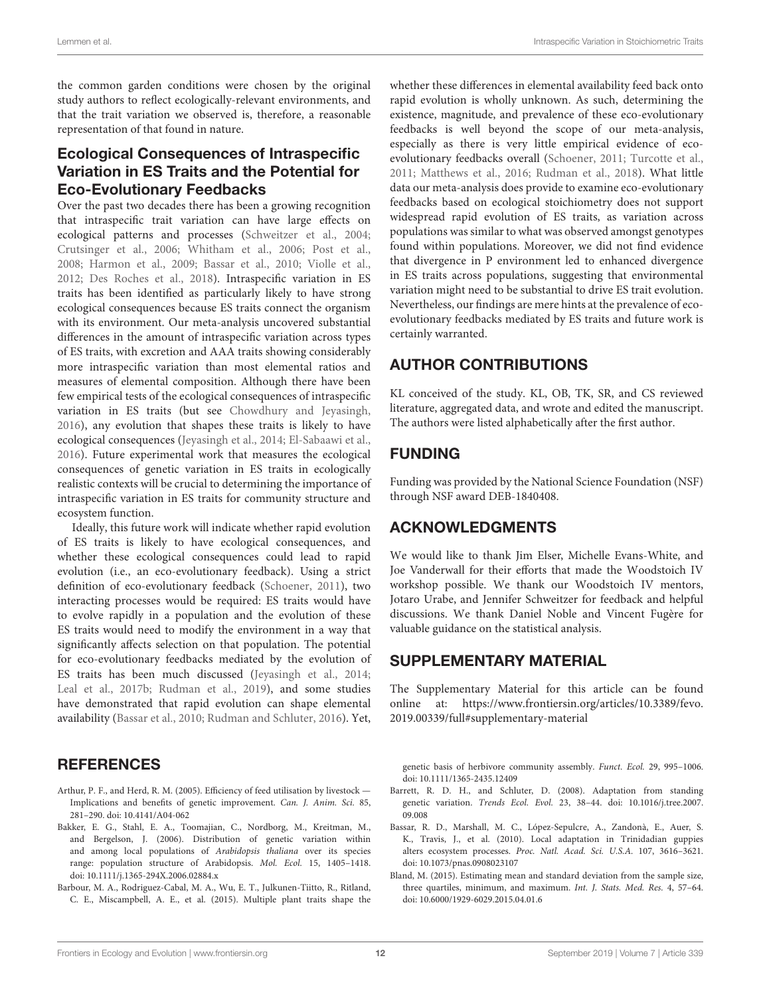the common garden conditions were chosen by the original study authors to reflect ecologically-relevant environments, and that the trait variation we observed is, therefore, a reasonable representation of that found in nature.

### Ecological Consequences of Intraspecific Variation in ES Traits and the Potential for Eco-Evolutionary Feedbacks

Over the past two decades there has been a growing recognition that intraspecific trait variation can have large effects on ecological patterns and processes [\(Schweitzer et al., 2004;](#page-13-28) [Crutsinger et al., 2006;](#page-12-30) [Whitham et al., 2006;](#page-14-0) [Post et al.,](#page-13-29) [2008;](#page-13-29) [Harmon et al., 2009;](#page-12-39) [Bassar et al., 2010;](#page-11-6) [Violle et al.,](#page-14-6) [2012;](#page-14-6) [Des Roches et al., 2018\)](#page-12-31). Intraspecific variation in ES traits has been identified as particularly likely to have strong ecological consequences because ES traits connect the organism with its environment. Our meta-analysis uncovered substantial differences in the amount of intraspecific variation across types of ES traits, with excretion and AAA traits showing considerably more intraspecific variation than most elemental ratios and measures of elemental composition. Although there have been few empirical tests of the ecological consequences of intraspecific variation in ES traits (but see [Chowdhury and Jeyasingh,](#page-12-12) [2016\)](#page-12-12), any evolution that shapes these traits is likely to have ecological consequences [\(Jeyasingh et al., 2014;](#page-12-2) [El-Sabaawi et al.,](#page-12-40) [2016\)](#page-12-40). Future experimental work that measures the ecological consequences of genetic variation in ES traits in ecologically realistic contexts will be crucial to determining the importance of intraspecific variation in ES traits for community structure and ecosystem function.

Ideally, this future work will indicate whether rapid evolution of ES traits is likely to have ecological consequences, and whether these ecological consequences could lead to rapid evolution (i.e., an eco-evolutionary feedback). Using a strict definition of eco-evolutionary feedback [\(Schoener, 2011\)](#page-13-38), two interacting processes would be required: ES traits would have to evolve rapidly in a population and the evolution of these ES traits would need to modify the environment in a way that significantly affects selection on that population. The potential for eco-evolutionary feedbacks mediated by the evolution of ES traits has been much discussed [\(Jeyasingh et al., 2014;](#page-12-2) [Leal et al., 2017b;](#page-13-4) [Rudman et al., 2019\)](#page-13-10), and some studies have demonstrated that rapid evolution can shape elemental availability [\(Bassar et al., 2010;](#page-11-6) [Rudman and Schluter, 2016\)](#page-13-39). Yet,

### **REFERENCES**

- <span id="page-11-4"></span>Arthur, P. F., and Herd, R. M. (2005). Efficiency of feed utilisation by livestock — Implications and benefits of genetic improvement. Can. J. Anim. Sci. 85, 281–290. doi: [10.4141/A04-062](https://doi.org/10.4141/A04-062)
- <span id="page-11-5"></span>Bakker, E. G., Stahl, E. A., Toomajian, C., Nordborg, M., Kreitman, M., and Bergelson, J. (2006). Distribution of genetic variation within and among local populations of Arabidopsis thaliana over its species range: population structure of Arabidopsis. Mol. Ecol. 15, 1405–1418. doi: [10.1111/j.1365-294X.2006.02884.x](https://doi.org/10.1111/j.1365-294X.2006.02884.x)
- <span id="page-11-2"></span>Barbour, M. A., Rodriguez-Cabal, M. A., Wu, E. T., Julkunen-Tiitto, R., Ritland, C. E., Miscampbell, A. E., et al. (2015). Multiple plant traits shape the

whether these differences in elemental availability feed back onto rapid evolution is wholly unknown. As such, determining the existence, magnitude, and prevalence of these eco-evolutionary feedbacks is well beyond the scope of our meta-analysis, especially as there is very little empirical evidence of ecoevolutionary feedbacks overall [\(Schoener, 2011;](#page-13-38) [Turcotte et al.,](#page-14-10) [2011;](#page-14-10) [Matthews et al., 2016;](#page-13-40) [Rudman et al., 2018\)](#page-13-41). What little data our meta-analysis does provide to examine eco-evolutionary feedbacks based on ecological stoichiometry does not support widespread rapid evolution of ES traits, as variation across populations was similar to what was observed amongst genotypes found within populations. Moreover, we did not find evidence that divergence in P environment led to enhanced divergence in ES traits across populations, suggesting that environmental variation might need to be substantial to drive ES trait evolution. Nevertheless, our findings are mere hints at the prevalence of ecoevolutionary feedbacks mediated by ES traits and future work is certainly warranted.

### AUTHOR CONTRIBUTIONS

KL conceived of the study. KL, OB, TK, SR, and CS reviewed literature, aggregated data, and wrote and edited the manuscript. The authors were listed alphabetically after the first author.

### FUNDING

Funding was provided by the National Science Foundation (NSF) through NSF award DEB-1840408.

### ACKNOWLEDGMENTS

We would like to thank Jim Elser, Michelle Evans-White, and Joe Vanderwall for their efforts that made the Woodstoich IV workshop possible. We thank our Woodstoich IV mentors, Jotaro Urabe, and Jennifer Schweitzer for feedback and helpful discussions. We thank Daniel Noble and Vincent Fugère for valuable guidance on the statistical analysis.

### SUPPLEMENTARY MATERIAL

<span id="page-11-3"></span>The Supplementary Material for this article can be found [online at: https://www.frontiersin.org/articles/10.3389/fevo.](https://www.frontiersin.org/articles/10.3389/fevo.2019.00339/full#supplementary-material) 2019.00339/full#supplementary-material

genetic basis of herbivore community assembly. Funct. Ecol. 29, 995–1006. doi: [10.1111/1365-2435.12409](https://doi.org/10.1111/1365-2435.12409)

- <span id="page-11-0"></span>Barrett, R. D. H., and Schluter, D. (2008). Adaptation from standing genetic variation. Trends Ecol. Evol. [23, 38–44. doi: 10.1016/j.tree.2007.](https://doi.org/10.1016/j.tree.2007.09.008) 09.008
- <span id="page-11-6"></span>Bassar, R. D., Marshall, M. C., López-Sepulcre, A., Zandonà, E., Auer, S. K., Travis, J., et al. (2010). Local adaptation in Trinidadian guppies alters ecosystem processes. Proc. Natl. Acad. Sci. U.S.A. 107, 3616–3621. doi: [10.1073/pnas.0908023107](https://doi.org/10.1073/pnas.0908023107)
- <span id="page-11-1"></span>Bland, M. (2015). Estimating mean and standard deviation from the sample size, three quartiles, minimum, and maximum. Int. J. Stats. Med. Res. 4, 57–64. doi: [10.6000/1929-6029.2015.04.01.6](https://doi.org/10.6000/1929-6029.2015.04.01.6)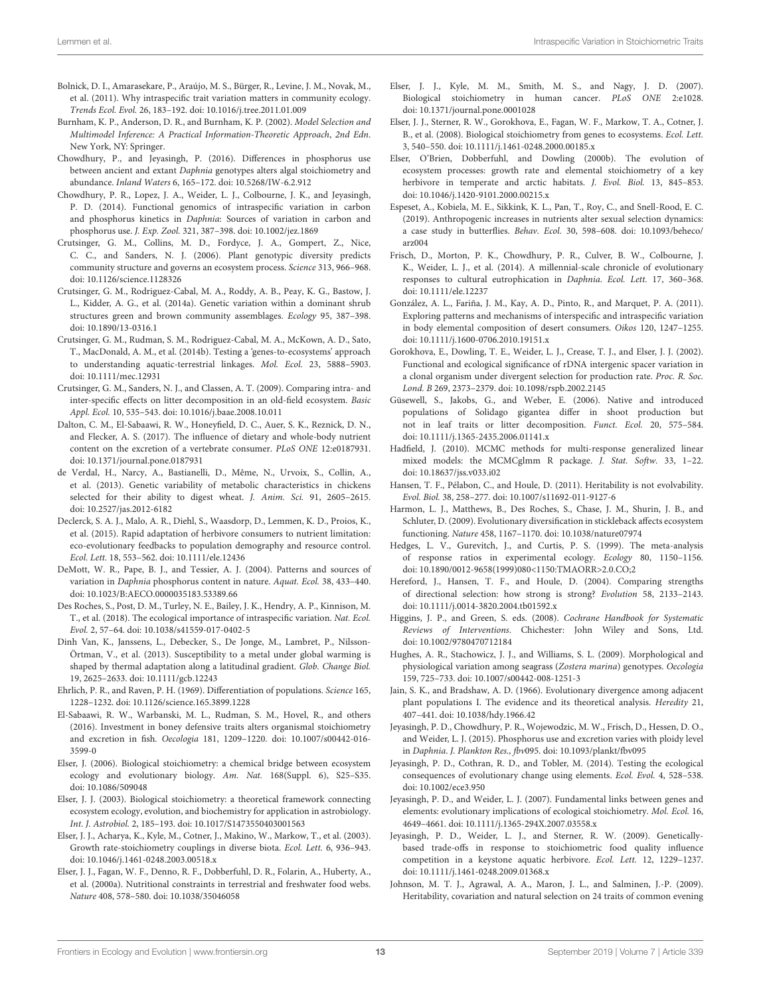- <span id="page-12-32"></span>Bolnick, D. I., Amarasekare, P., Araújo, M. S., Bürger, R., Levine, J. M., Novak, M., et al. (2011). Why intraspecific trait variation matters in community ecology. Trends Ecol. Evol. 26, 183–192. doi: [10.1016/j.tree.2011.01.009](https://doi.org/10.1016/j.tree.2011.01.009)
- <span id="page-12-29"></span>Burnham, K. P., Anderson, D. R., and Burnham, K. P. (2002). Model Selection and Multimodel Inference: A Practical Information-Theoretic Approach, 2nd Edn. New York, NY: Springer.
- <span id="page-12-12"></span>Chowdhury, P., and Jeyasingh, P. (2016). Differences in phosphorus use between ancient and extant Daphnia genotypes alters algal stoichiometry and abundance. Inland Waters 6, 165–172. doi: [10.5268/IW-6.2.912](https://doi.org/10.5268/IW-6.2.912)
- <span id="page-12-13"></span>Chowdhury, P. R., Lopez, J. A., Weider, L. J., Colbourne, J. K., and Jeyasingh, P. D. (2014). Functional genomics of intraspecific variation in carbon and phosphorus kinetics in Daphnia: Sources of variation in carbon and phosphorus use. J. Exp. Zool. 321, 387–398. doi: [10.1002/jez.1869](https://doi.org/10.1002/jez.1869)
- <span id="page-12-30"></span>Crutsinger, G. M., Collins, M. D., Fordyce, J. A., Gompert, Z., Nice, C. C., and Sanders, N. J. (2006). Plant genotypic diversity predicts community structure and governs an ecosystem process. Science 313, 966–968. doi: [10.1126/science.1128326](https://doi.org/10.1126/science.1128326)
- <span id="page-12-16"></span>Crutsinger, G. M., Rodriguez-Cabal, M. A., Roddy, A. B., Peay, K. G., Bastow, J. L., Kidder, A. G., et al. (2014a). Genetic variation within a dominant shrub structures green and brown community assemblages. Ecology 95, 387–398. doi: [10.1890/13-0316.1](https://doi.org/10.1890/13-0316.1)
- <span id="page-12-15"></span>Crutsinger, G. M., Rudman, S. M., Rodriguez-Cabal, M. A., McKown, A. D., Sato, T., MacDonald, A. M., et al. (2014b). Testing a 'genes-to-ecosystems' approach to understanding aquatic-terrestrial linkages. Mol. Ecol. 23, 5888–5903. doi: [10.1111/mec.12931](https://doi.org/10.1111/mec.12931)
- <span id="page-12-14"></span>Crutsinger, G. M., Sanders, N. J., and Classen, A. T. (2009). Comparing intra- and inter-specific effects on litter decomposition in an old-field ecosystem. Basic Appl. Ecol. 10, 535–543. doi: [10.1016/j.baae.2008.10.011](https://doi.org/10.1016/j.baae.2008.10.011)
- <span id="page-12-17"></span>Dalton, C. M., El-Sabaawi, R. W., Honeyfield, D. C., Auer, S. K., Reznick, D. N., and Flecker, A. S. (2017). The influence of dietary and whole-body nutrient content on the excretion of a vertebrate consumer. PLoS ONE 12:e0187931. doi: [10.1371/journal.pone.0187931](https://doi.org/10.1371/journal.pone.0187931)
- <span id="page-12-34"></span>de Verdal, H., Narcy, A., Bastianelli, D., Même, N., Urvoix, S., Collin, A., et al. (2013). Genetic variability of metabolic characteristics in chickens selected for their ability to digest wheat. J. Anim. Sci. 91, 2605–2615. doi: [10.2527/jas.2012-6182](https://doi.org/10.2527/jas.2012-6182)
- <span id="page-12-18"></span>Declerck, S. A. J., Malo, A. R., Diehl, S., Waasdorp, D., Lemmen, K. D., Proios, K., et al. (2015). Rapid adaptation of herbivore consumers to nutrient limitation: eco-evolutionary feedbacks to population demography and resource control. Ecol. Lett. 18, 553–562. doi: [10.1111/ele.12436](https://doi.org/10.1111/ele.12436)
- <span id="page-12-19"></span>DeMott, W. R., Pape, B. J., and Tessier, A. J. (2004). Patterns and sources of variation in Daphnia phosphorus content in nature. Aquat. Ecol. 38, 433–440. doi: [10.1023/B:AECO.0000035183.53389.66](https://doi.org/10.1023/B:AECO.0000035183.53389.66)
- <span id="page-12-31"></span>Des Roches, S., Post, D. M., Turley, N. E., Bailey, J. K., Hendry, A. P., Kinnison, M. T., et al. (2018). The ecological importance of intraspecific variation. Nat. Ecol. Evol. 2, 57–64. doi: [10.1038/s41559-017-0402-5](https://doi.org/10.1038/s41559-017-0402-5)
- <span id="page-12-10"></span>Dinh Van, K., Janssens, L., Debecker, S., De Jonge, M., Lambret, P., Nilsson-Örtman, V., et al. (2013). Susceptibility to a metal under global warming is shaped by thermal adaptation along a latitudinal gradient. Glob. Change Biol. 19, 2625–2633. doi: [10.1111/gcb.12243](https://doi.org/10.1111/gcb.12243)
- <span id="page-12-38"></span>Ehrlich, P. R., and Raven, P. H. (1969). Differentiation of populations. Science 165, 1228–1232. doi: [10.1126/science.165.3899.1228](https://doi.org/10.1126/science.165.3899.1228)
- <span id="page-12-40"></span>El-Sabaawi, R. W., Warbanski, M. L., Rudman, S. M., Hovel, R., and others (2016). Investment in boney defensive traits alters organismal stoichiometry and excretion in fish. Oecologia [181, 1209–1220. doi: 10.1007/s00442-016-](https://doi.org/10.1007/s00442-016-3599-0) 3599-0
- <span id="page-12-7"></span>Elser, J. (2006). Biological stoichiometry: a chemical bridge between ecosystem ecology and evolutionary biology. Am. Nat. 168(Suppl. 6), S25–S35. doi: [10.1086/509048](https://doi.org/10.1086/509048)
- <span id="page-12-0"></span>Elser, J. J. (2003). Biological stoichiometry: a theoretical framework connecting ecosystem ecology, evolution, and biochemistry for application in astrobiology. Int. J. Astrobiol. 2, 185–193. doi: [10.1017/S1473550403001563](https://doi.org/10.1017/S1473550403001563)
- <span id="page-12-4"></span>Elser, J. J., Acharya, K., Kyle, M., Cotner, J., Makino, W., Markow, T., et al. (2003). Growth rate-stoichiometry couplings in diverse biota. Ecol. Lett. 6, 936–943. doi: [10.1046/j.1461-0248.2003.00518.x](https://doi.org/10.1046/j.1461-0248.2003.00518.x)
- <span id="page-12-3"></span>Elser, J. J., Fagan, W. F., Denno, R. F., Dobberfuhl, D. R., Folarin, A., Huberty, A., et al. (2000a). Nutritional constraints in terrestrial and freshwater food webs. Nature 408, 578–580. doi: [10.1038/35046058](https://doi.org/10.1038/35046058)
- <span id="page-12-1"></span>Elser, J. J., Kyle, M. M., Smith, M. S., and Nagy, J. D. (2007). Biological stoichiometry in human cancer. PLoS ONE 2:e1028. doi: [10.1371/journal.pone.0001028](https://doi.org/10.1371/journal.pone.0001028)
- <span id="page-12-5"></span>Elser, J. J., Sterner, R. W., Gorokhova, E., Fagan, W. F., Markow, T. A., Cotner, J. B., et al. (2008). Biological stoichiometry from genes to ecosystems. Ecol. Lett. 3, 540–550. doi: [10.1111/j.1461-0248.2000.00185.x](https://doi.org/10.1111/j.1461-0248.2000.00185.x)
- <span id="page-12-36"></span>Elser, O'Brien, Dobberfuhl, and Dowling (2000b). The evolution of ecosystem processes: growth rate and elemental stoichiometry of a key herbivore in temperate and arctic habitats. J. Evol. Biol. 13, 845–853. doi: [10.1046/j.1420-9101.2000.00215.x](https://doi.org/10.1046/j.1420-9101.2000.00215.x)
- <span id="page-12-20"></span>Espeset, A., Kobiela, M. E., Sikkink, K. L., Pan, T., Roy, C., and Snell-Rood, E. C. (2019). Anthropogenic increases in nutrients alter sexual selection dynamics: a case study in butterflies. Behav. Ecol. [30, 598–608. doi: 10.1093/beheco/](https://doi.org/10.1093/beheco/arz004) arz004
- <span id="page-12-21"></span>Frisch, D., Morton, P. K., Chowdhury, P. R., Culver, B. W., Colbourne, J. K., Weider, L. J., et al. (2014). A millennial-scale chronicle of evolutionary responses to cultural eutrophication in Daphnia. Ecol. Lett. 17, 360–368. doi: [10.1111/ele.12237](https://doi.org/10.1111/ele.12237)
- <span id="page-12-6"></span>González, A. L., Fariña, J. M., Kay, A. D., Pinto, R., and Marquet, P. A. (2011). Exploring patterns and mechanisms of interspecific and intraspecific variation in body elemental composition of desert consumers. Oikos 120, 1247–1255. doi: [10.1111/j.1600-0706.2010.19151.x](https://doi.org/10.1111/j.1600-0706.2010.19151.x)
- <span id="page-12-35"></span>Gorokhova, E., Dowling, T. E., Weider, L. J., Crease, T. J., and Elser, J. J. (2002). Functional and ecological significance of rDNA intergenic spacer variation in a clonal organism under divergent selection for production rate. Proc. R. Soc. Lond. B 269, 2373–2379. doi: [10.1098/rspb.2002.2145](https://doi.org/10.1098/rspb.2002.2145)
- <span id="page-12-22"></span>Güsewell, S., Jakobs, G., and Weber, E. (2006). Native and introduced populations of Solidago gigantea differ in shoot production but not in leaf traits or litter decomposition. Funct. Ecol. 20, 575–584. doi: [10.1111/j.1365-2435.2006.01141.x](https://doi.org/10.1111/j.1365-2435.2006.01141.x)
- <span id="page-12-28"></span>Hadfield, J. (2010). MCMC methods for multi-response generalized linear mixed models: the MCMCglmm R package. J. Stat. Softw. 33, 1–22. doi: [10.18637/jss.v033.i02](https://doi.org/10.18637/jss.v033.i02)
- <span id="page-12-33"></span>Hansen, T. F., Pélabon, C., and Houle, D. (2011). Heritability is not evolvability. Evol. Biol. 38, 258–277. doi: [10.1007/s11692-011-9127-6](https://doi.org/10.1007/s11692-011-9127-6)
- <span id="page-12-39"></span>Harmon, L. J., Matthews, B., Des Roches, S., Chase, J. M., Shurin, J. B., and Schluter, D. (2009). Evolutionary diversification in stickleback affects ecosystem functioning. Nature 458, 1167–1170. doi: [10.1038/nature07974](https://doi.org/10.1038/nature07974)
- <span id="page-12-11"></span>Hedges, L. V., Gurevitch, J., and Curtis, P. S. (1999). The meta-analysis of response ratios in experimental ecology. Ecology 80, 1150–1156. doi: [10.1890/0012-9658\(1999\)080<1150:TMAORR>2.0.CO;2](https://doi.org/10.1890/0012-9658(1999)080<1150:TMAORR>2.0.CO;2)
- <span id="page-12-27"></span>Hereford, J., Hansen, T. F., and Houle, D. (2004). Comparing strengths of directional selection: how strong is strong? Evolution 58, 2133–2143. doi: [10.1111/j.0014-3820.2004.tb01592.x](https://doi.org/10.1111/j.0014-3820.2004.tb01592.x)
- <span id="page-12-9"></span>Higgins, J. P., and Green, S. eds. (2008). Cochrane Handbook for Systematic Reviews of Interventions. Chichester: John Wiley and Sons, Ltd. doi: [10.1002/9780470712184](https://doi.org/10.1002/9780470712184)
- <span id="page-12-23"></span>Hughes, A. R., Stachowicz, J. J., and Williams, S. L. (2009). Morphological and physiological variation among seagrass (Zostera marina) genotypes. Oecologia 159, 725–733. doi: [10.1007/s00442-008-1251-3](https://doi.org/10.1007/s00442-008-1251-3)
- <span id="page-12-37"></span>Jain, S. K., and Bradshaw, A. D. (1966). Evolutionary divergence among adjacent plant populations I. The evidence and its theoretical analysis. Heredity 21, 407–441. doi: [10.1038/hdy.1966.42](https://doi.org/10.1038/hdy.1966.42)
- <span id="page-12-25"></span>Jeyasingh, P. D., Chowdhury, P. R., Wojewodzic, M. W., Frisch, D., Hessen, D. O., and Weider, L. J. (2015). Phosphorus use and excretion varies with ploidy level in Daphnia. J. Plankton Res., fbv095. doi: [10.1093/plankt/fbv095](https://doi.org/10.1093/plankt/fbv095)
- <span id="page-12-2"></span>Jeyasingh, P. D., Cothran, R. D., and Tobler, M. (2014). Testing the ecological consequences of evolutionary change using elements. Ecol. Evol. 4, 528–538. doi: [10.1002/ece3.950](https://doi.org/10.1002/ece3.950)
- <span id="page-12-8"></span>Jeyasingh, P. D., and Weider, L. J. (2007). Fundamental links between genes and elements: evolutionary implications of ecological stoichiometry. Mol. Ecol. 16, 4649–4661. doi: [10.1111/j.1365-294X.2007.03558.x](https://doi.org/10.1111/j.1365-294X.2007.03558.x)
- <span id="page-12-24"></span>Jeyasingh, P. D., Weider, L. J., and Sterner, R. W. (2009). Geneticallybased trade-offs in response to stoichiometric food quality influence competition in a keystone aquatic herbivore. Ecol. Lett. 12, 1229–1237. doi: [10.1111/j.1461-0248.2009.01368.x](https://doi.org/10.1111/j.1461-0248.2009.01368.x)
- <span id="page-12-26"></span>Johnson, M. T. J., Agrawal, A. A., Maron, J. L., and Salminen, J.-P. (2009). Heritability, covariation and natural selection on 24 traits of common evening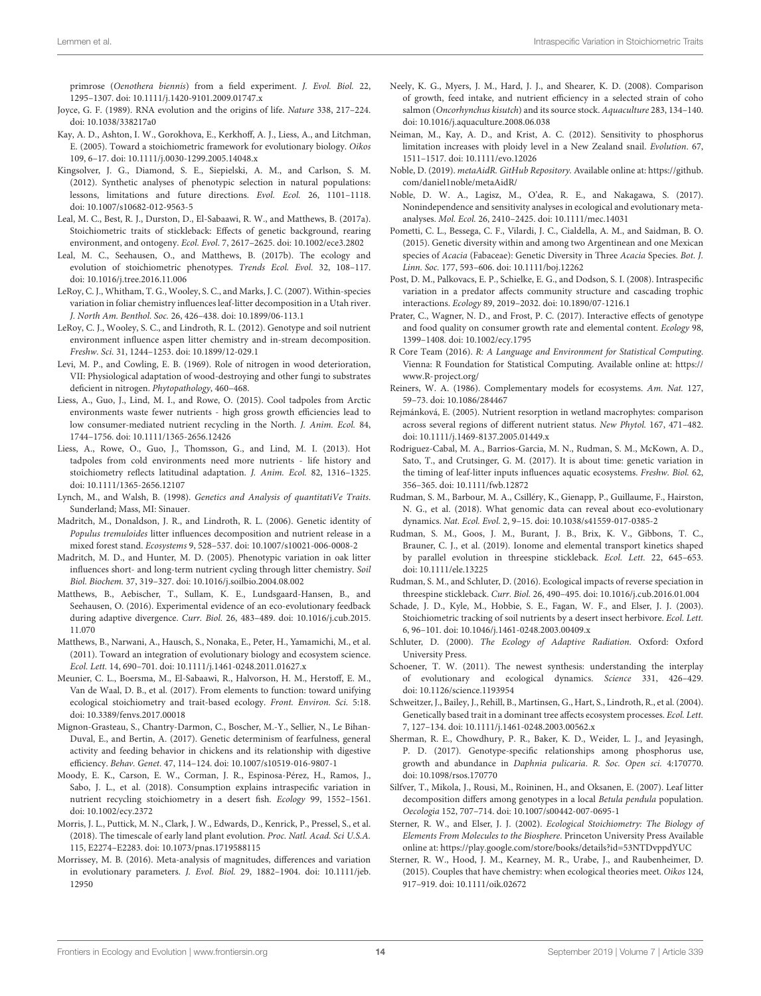primrose (Oenothera biennis) from a field experiment. J. Evol. Biol. 22, 1295–1307. doi: [10.1111/j.1420-9101.2009.01747.x](https://doi.org/10.1111/j.1420-9101.2009.01747.x)

- <span id="page-13-35"></span>Joyce, G. F. (1989). RNA evolution and the origins of life. Nature 338, 217–224. doi: [10.1038/338217a0](https://doi.org/10.1038/338217a0)
- <span id="page-13-2"></span>Kay, A. D., Ashton, I. W., Gorokhova, E., Kerkhoff, A. J., Liess, A., and Litchman, E. (2005). Toward a stoichiometric framework for evolutionary biology. Oikos 109, 6–17. doi: [10.1111/j.0030-1299.2005.14048.x](https://doi.org/10.1111/j.0030-1299.2005.14048.x)
- <span id="page-13-25"></span>Kingsolver, J. G., Diamond, S. E., Siepielski, A. M., and Carlson, S. M. (2012). Synthetic analyses of phenotypic selection in natural populations: lessons, limitations and future directions. Evol. Ecol. 26, 1101–1118. doi: [10.1007/s10682-012-9563-5](https://doi.org/10.1007/s10682-012-9563-5)
- <span id="page-13-9"></span>Leal, M. C., Best, R. J., Durston, D., El-Sabaawi, R. W., and Matthews, B. (2017a). Stoichiometric traits of stickleback: Effects of genetic background, rearing environment, and ontogeny. Ecol. Evol. 7, 2617–2625. doi: [10.1002/ece3.2802](https://doi.org/10.1002/ece3.2802)
- <span id="page-13-4"></span>Leal, M. C., Seehausen, O., and Matthews, B. (2017b). The ecology and evolution of stoichiometric phenotypes. Trends Ecol. Evol. 32, 108–117. doi: [10.1016/j.tree.2016.11.006](https://doi.org/10.1016/j.tree.2016.11.006)
- <span id="page-13-14"></span>LeRoy, C. J., Whitham, T. G., Wooley, S. C., and Marks, J. C. (2007). Within-species variation in foliar chemistry influences leaf-litter decomposition in a Utah river. J. North Am. Benthol. Soc. 26, 426–438. doi: [10.1899/06-113.1](https://doi.org/10.1899/06-113.1)
- <span id="page-13-15"></span>LeRoy, C. J., Wooley, S. C., and Lindroth, R. L. (2012). Genotype and soil nutrient environment influence aspen litter chemistry and in-stream decomposition. Freshw. Sci. 31, 1244–1253. doi: [10.1899/12-029.1](https://doi.org/10.1899/12-029.1)
- <span id="page-13-36"></span>Levi, M. P., and Cowling, E. B. (1969). Role of nitrogen in wood deterioration, VII: Physiological adaptation of wood-destroying and other fungi to substrates deficient in nitrogen. Phytopathology, 460–468.
- <span id="page-13-17"></span>Liess, A., Guo, J., Lind, M. I., and Rowe, O. (2015). Cool tadpoles from Arctic environments waste fewer nutrients - high gross growth efficiencies lead to low consumer-mediated nutrient recycling in the North. J. Anim. Ecol. 84, 1744–1756. doi: [10.1111/1365-2656.12426](https://doi.org/10.1111/1365-2656.12426)
- <span id="page-13-16"></span>Liess, A., Rowe, O., Guo, J., Thomsson, G., and Lind, M. I. (2013). Hot tadpoles from cold environments need more nutrients - life history and stoichiometry reflects latitudinal adaptation. J. Anim. Ecol. 82, 1316–1325. doi: [10.1111/1365-2656.12107](https://doi.org/10.1111/1365-2656.12107)
- <span id="page-13-8"></span>Lynch, M., and Walsh, B. (1998). Genetics and Analysis of quantitatiVe Traits. Sunderland; Mass, MI: Sinauer.
- <span id="page-13-19"></span>Madritch, M., Donaldson, J. R., and Lindroth, R. L. (2006). Genetic identity of Populus tremuloides litter influences decomposition and nutrient release in a mixed forest stand. Ecosystems 9, 528–537. doi: [10.1007/s10021-006-0008-2](https://doi.org/10.1007/s10021-006-0008-2)
- <span id="page-13-18"></span>Madritch, M. D., and Hunter, M. D. (2005). Phenotypic variation in oak litter influences short- and long-term nutrient cycling through litter chemistry. Soil Biol. Biochem. 37, 319–327. doi: [10.1016/j.soilbio.2004.08.002](https://doi.org/10.1016/j.soilbio.2004.08.002)
- <span id="page-13-40"></span>Matthews, B., Aebischer, T., Sullam, K. E., Lundsgaard-Hansen, B., and Seehausen, O. (2016). Experimental evidence of an eco-evolutionary feedback during adaptive divergence. Curr. Biol. [26, 483–489. doi: 10.1016/j.cub.2015.](https://doi.org/10.1016/j.cub.2015.11.070) 11.070
- <span id="page-13-3"></span>Matthews, B., Narwani, A., Hausch, S., Nonaka, E., Peter, H., Yamamichi, M., et al. (2011). Toward an integration of evolutionary biology and ecosystem science. Ecol. Lett. 14, 690–701. doi: [10.1111/j.1461-0248.2011.01627.x](https://doi.org/10.1111/j.1461-0248.2011.01627.x)
- <span id="page-13-30"></span>Meunier, C. L., Boersma, M., El-Sabaawi, R., Halvorson, H. M., Herstoff, E. M., Van de Waal, D. B., et al. (2017). From elements to function: toward unifying ecological stoichiometry and trait-based ecology. Front. Environ. Sci. 5:18. doi: [10.3389/fenvs.2017.00018](https://doi.org/10.3389/fenvs.2017.00018)
- <span id="page-13-32"></span>Mignon-Grasteau, S., Chantry-Darmon, C., Boscher, M.-Y., Sellier, N., Le Bihan-Duval, E., and Bertin, A. (2017). Genetic determinism of fearfulness, general activity and feeding behavior in chickens and its relationship with digestive efficiency. Behav. Genet. 47, 114–124. doi: [10.1007/s10519-016-9807-1](https://doi.org/10.1007/s10519-016-9807-1)
- <span id="page-13-20"></span>Moody, E. K., Carson, E. W., Corman, J. R., Espinosa-Pérez, H., Ramos, J., Sabo, J. L., et al. (2018). Consumption explains intraspecific variation in nutrient recycling stoichiometry in a desert fish. Ecology 99, 1552–1561. doi: [10.1002/ecy.2372](https://doi.org/10.1002/ecy.2372)
- <span id="page-13-34"></span>Morris, J. L., Puttick, M. N., Clark, J. W., Edwards, D., Kenrick, P., Pressel, S., et al. (2018). The timescale of early land plant evolution. Proc. Natl. Acad. Sci U.S.A. 115, E2274–E2283. doi: [10.1073/pnas.1719588115](https://doi.org/10.1073/pnas.1719588115)
- <span id="page-13-24"></span>Morrissey, M. B. (2016). Meta-analysis of magnitudes, differences and variation in evolutionary parameters. J. Evol. Biol. [29, 1882–1904. doi: 10.1111/jeb.](https://doi.org/10.1111/jeb.12950) 12950
- <span id="page-13-31"></span>Neely, K. G., Myers, J. M., Hard, J. J., and Shearer, K. D. (2008). Comparison of growth, feed intake, and nutrient efficiency in a selected strain of coho salmon (Oncorhynchus kisutch) and its source stock. Aquaculture 283, 134–140. doi: [10.1016/j.aquaculture.2008.06.038](https://doi.org/10.1016/j.aquaculture.2008.06.038)
- <span id="page-13-21"></span>Neiman, M., Kay, A. D., and Krist, A. C. (2012). Sensitivity to phosphorus limitation increases with ploidy level in a New Zealand snail. Evolution. 67, 1511–1517. doi: [10.1111/evo.12026](https://doi.org/10.1111/evo.12026)
- <span id="page-13-27"></span>Noble, D. (2019). metaAidR. GitHub Repository. Available online at: [https://github.](https://github.com/daniel1noble/metaAidR/) [com/daniel1noble/metaAidR/](https://github.com/daniel1noble/metaAidR/)
- <span id="page-13-13"></span>Noble, D. W. A., Lagisz, M., O'dea, R. E., and Nakagawa, S. (2017). Nonindependence and sensitivity analyses in ecological and evolutionary metaanalyses. Mol. Ecol. 26, 2410–2425. doi: [10.1111/mec.14031](https://doi.org/10.1111/mec.14031)
- <span id="page-13-37"></span>Pometti, C. L., Bessega, C. F., Vilardi, J. C., Cialdella, A. M., and Saidman, B. O. (2015). Genetic diversity within and among two Argentinean and one Mexican species of Acacia (Fabaceae): Genetic Diversity in Three Acacia Species. Bot. J. Linn. Soc. 177, 593–606. doi: [10.1111/boj.12262](https://doi.org/10.1111/boj.12262)
- <span id="page-13-29"></span>Post, D. M., Palkovacs, E. P., Schielke, E. G., and Dodson, S. I. (2008). Intraspecific variation in a predator affects community structure and cascading trophic interactions. Ecology 89, 2019–2032. doi: [10.1890/07-1216.1](https://doi.org/10.1890/07-1216.1)
- <span id="page-13-22"></span>Prater, C., Wagner, N. D., and Frost, P. C. (2017). Interactive effects of genotype and food quality on consumer growth rate and elemental content. Ecology 98, 1399–1408. doi: [10.1002/ecy.1795](https://doi.org/10.1002/ecy.1795)
- <span id="page-13-26"></span>R Core Team (2016). R: A Language and Environment for Statistical Computing. Vienna: R Foundation for Statistical Computing. Available online at: [https://](https://www.R-project.org/) [www.R-project.org/](https://www.R-project.org/)
- <span id="page-13-33"></span>Reiners, W. A. (1986). Complementary models for ecosystems. Am. Nat. 127, 59–73. doi: [10.1086/284467](https://doi.org/10.1086/284467)
- <span id="page-13-7"></span>Rejmánková, E. (2005). Nutrient resorption in wetland macrophytes: comparison across several regions of different nutrient status. New Phytol. 167, 471–482. doi: [10.1111/j.1469-8137.2005.01449.x](https://doi.org/10.1111/j.1469-8137.2005.01449.x)
- <span id="page-13-12"></span>Rodriguez-Cabal, M. A., Barrios-Garcia, M. N., Rudman, S. M., McKown, A. D., Sato, T., and Crutsinger, G. M. (2017). It is about time: genetic variation in the timing of leaf-litter inputs influences aquatic ecosystems. Freshw. Biol. 62, 356–365. doi: [10.1111/fwb.12872](https://doi.org/10.1111/fwb.12872)
- <span id="page-13-41"></span>Rudman, S. M., Barbour, M. A., Csilléry, K., Gienapp, P., Guillaume, F., Hairston, N. G., et al. (2018). What genomic data can reveal about eco-evolutionary dynamics. Nat. Ecol. Evol. 2, 9–15. doi: [10.1038/s41559-017-0385-2](https://doi.org/10.1038/s41559-017-0385-2)
- <span id="page-13-10"></span>Rudman, S. M., Goos, J. M., Burant, J. B., Brix, K. V., Gibbons, T. C., Brauner, C. J., et al. (2019). Ionome and elemental transport kinetics shaped by parallel evolution in threespine stickleback. Ecol. Lett. 22, 645–653. doi: [10.1111/ele.13225](https://doi.org/10.1111/ele.13225)
- <span id="page-13-39"></span>Rudman, S. M., and Schluter, D. (2016). Ecological impacts of reverse speciation in threespine stickleback. Curr. Biol. 26, 490–495. doi: [10.1016/j.cub.2016.01.004](https://doi.org/10.1016/j.cub.2016.01.004)
- <span id="page-13-6"></span>Schade, J. D., Kyle, M., Hobbie, S. E., Fagan, W. F., and Elser, J. J. (2003). Stoichiometric tracking of soil nutrients by a desert insect herbivore. Ecol. Lett. 6, 96–101. doi: [10.1046/j.1461-0248.2003.00409.x](https://doi.org/10.1046/j.1461-0248.2003.00409.x)
- <span id="page-13-11"></span>Schluter, D. (2000). The Ecology of Adaptive Radiation. Oxford: Oxford University Press.
- <span id="page-13-38"></span>Schoener, T. W. (2011). The newest synthesis: understanding the interplay of evolutionary and ecological dynamics. Science 331, 426–429. doi: [10.1126/science.1193954](https://doi.org/10.1126/science.1193954)
- <span id="page-13-28"></span>Schweitzer, J., Bailey, J., Rehill, B., Martinsen, G., Hart, S., Lindroth, R., et al. (2004). Genetically based trait in a dominant tree affects ecosystem processes. Ecol. Lett. 7, 127–134. doi: [10.1111/j.1461-0248.2003.00562.x](https://doi.org/10.1111/j.1461-0248.2003.00562.x)
- <span id="page-13-23"></span>Sherman, R. E., Chowdhury, P. R., Baker, K. D., Weider, L. J., and Jeyasingh, P. D. (2017). Genotype-specific relationships among phosphorus use, growth and abundance in Daphnia pulicaria. R. Soc. Open sci. 4:170770. doi: [10.1098/rsos.170770](https://doi.org/10.1098/rsos.170770)
- <span id="page-13-5"></span>Silfver, T., Mikola, J., Rousi, M., Roininen, H., and Oksanen, E. (2007). Leaf litter decomposition differs among genotypes in a local Betula pendula population. Oecologia 152, 707–714. doi: [10.1007/s00442-007-0695-1](https://doi.org/10.1007/s00442-007-0695-1)
- <span id="page-13-0"></span>Sterner, R. W., and Elser, J. J. (2002). Ecological Stoichiometry: The Biology of Elements From Molecules to the Biosphere. Princeton University Press Available online at:<https://play.google.com/store/books/details?id=53NTDvppdYUC>
- <span id="page-13-1"></span>Sterner, R. W., Hood, J. M., Kearney, M. R., Urabe, J., and Raubenheimer, D. (2015). Couples that have chemistry: when ecological theories meet. Oikos 124, 917–919. doi: [10.1111/oik.02672](https://doi.org/10.1111/oik.02672)